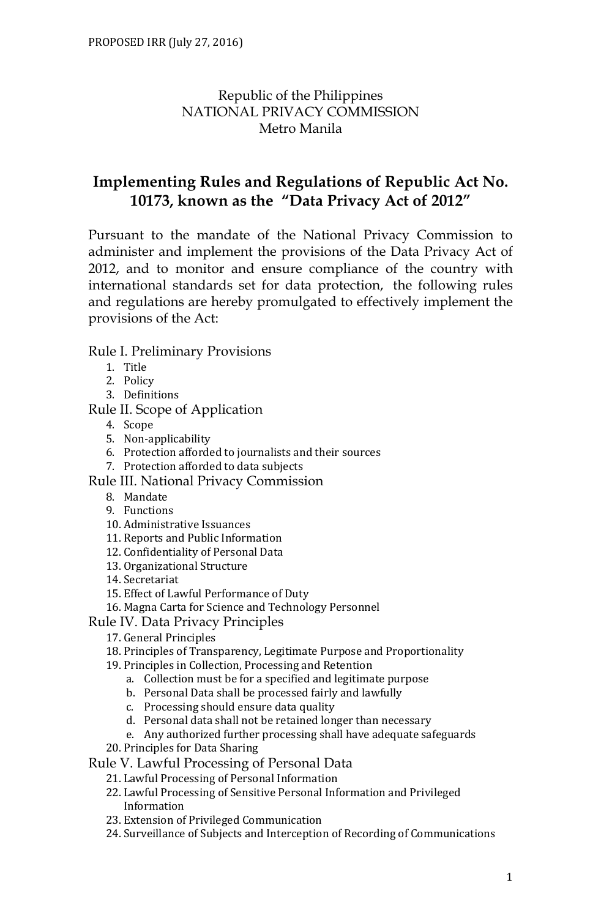# Republic of the Philippines NATIONAL PRIVACY COMMISSION Metro Manila

# **Implementing Rules and Regulations of Republic Act No. 10173, known as the "Data Privacy Act of 2012"**

Pursuant to the mandate of the National Privacy Commission to administer and implement the provisions of the Data Privacy Act of 2012, and to monitor and ensure compliance of the country with international standards set for data protection, the following rules and regulations are hereby promulgated to effectively implement the provisions of the Act:

#### Rule I. Preliminary Provisions

- 1. Title
- 2. Policy
- 3. Definitions

Rule II. Scope of Application

- 4. Scope
- 5. Non-applicability
- 6. Protection afforded to journalists and their sources
- 7. Protection afforded to data subjects
- Rule III. National Privacy Commission
	- 8. Mandate
	- 9. Functions
	- 10. Administrative Issuances
	- 11. Reports and Public Information
	- 12. Confidentiality of Personal Data
	- 13. Organizational Structure
	- 14. Secretariat
	- 15. Effect of Lawful Performance of Duty
	- 16. Magna Carta for Science and Technology Personnel
- Rule IV. Data Privacy Principles
	- 17. General Principles
	- 18. Principles of Transparency, Legitimate Purpose and Proportionality
	- 19. Principles in Collection, Processing and Retention
		- a. Collection must be for a specified and legitimate purpose
		- b. Personal Data shall be processed fairly and lawfully
		- c. Processing should ensure data quality
		- d. Personal data shall not be retained longer than necessary
		- e. Any authorized further processing shall have adequate safeguards
	- 20. Principles for Data Sharing
- Rule V. Lawful Processing of Personal Data
	- 21. Lawful Processing of Personal Information
	- 22. Lawful Processing of Sensitive Personal Information and Privileged Information
	- 23. Extension of Privileged Communication
	- 24. Surveillance of Subjects and Interception of Recording of Communications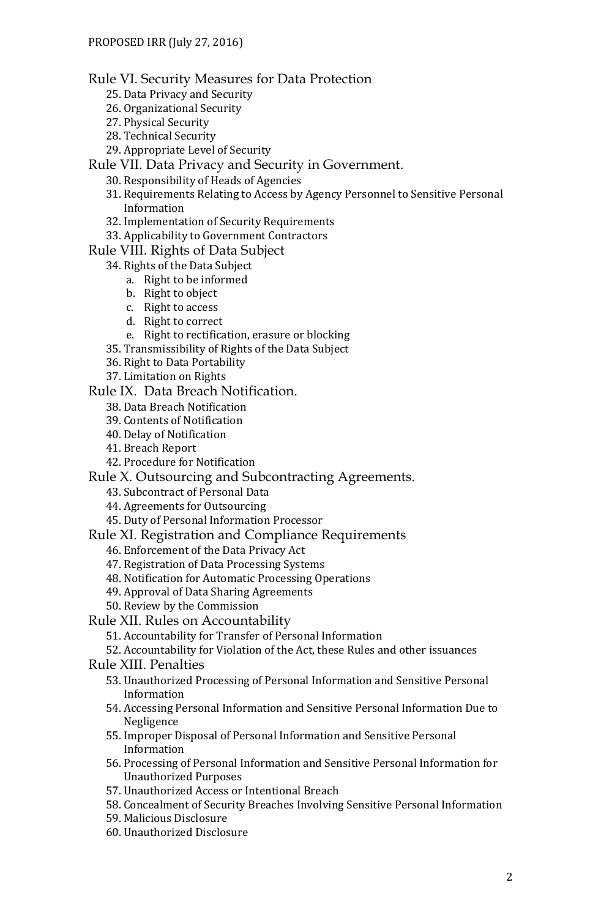#### Rule VI. Security Measures for Data Protection

- 25. Data Privacy and Security
- 26. Organizational Security
- 27. Physical Security
- 28. Technical Security
- 29. Appropriate Level of Security

Rule VII. Data Privacy and Security in Government.

- 30. Responsibility of Heads of Agencies
- 31. Requirements Relating to Access by Agency Personnel to Sensitive Personal Information
- 32. Implementation of Security Requirements
- 33. Applicability to Government Contractors

#### Rule VIII. Rights of Data Subject

- 34. Rights of the Data Subject
	- a. Right to be informed
	- b. Right to object
	- c. Right to access
	- d. Right to correct
	- e. Right to rectification, erasure or blocking
- 35. Transmissibility of Rights of the Data Subject
- 36. Right to Data Portability
- 37. Limitation on Rights

Rule IX. Data Breach Notification.

- 38. Data Breach Notification
- 39. Contents of Notification
- 40. Delay of Notification
- 41. Breach Report
- 42. Procedure for Notification

Rule X. Outsourcing and Subcontracting Agreements.

- 43. Subcontract of Personal Data
- 44. Agreements for Outsourcing
- 45. Duty of Personal Information Processor

Rule XI. Registration and Compliance Requirements

- 46. Enforcement of the Data Privacy Act
- 47. Registration of Data Processing Systems
- 48. Notification for Automatic Processing Operations
- 49. Approval of Data Sharing Agreements
- 50. Review by the Commission
- Rule XII. Rules on Accountability
	- 51. Accountability for Transfer of Personal Information
	- 52. Accountability for Violation of the Act, these Rules and other issuances
- Rule XIII. Penalties
	- 53. Unauthorized Processing of Personal Information and Sensitive Personal Information
	- 54. Accessing Personal Information and Sensitive Personal Information Due to Negligence
	- 55. Improper Disposal of Personal Information and Sensitive Personal Information
	- 56. Processing of Personal Information and Sensitive Personal Information for Unauthorized Purposes
	- 57. Unauthorized Access or Intentional Breach
	- 58. Concealment of Security Breaches Involving Sensitive Personal Information
	- 59. Malicious Disclosure
	- 60. Unauthorized Disclosure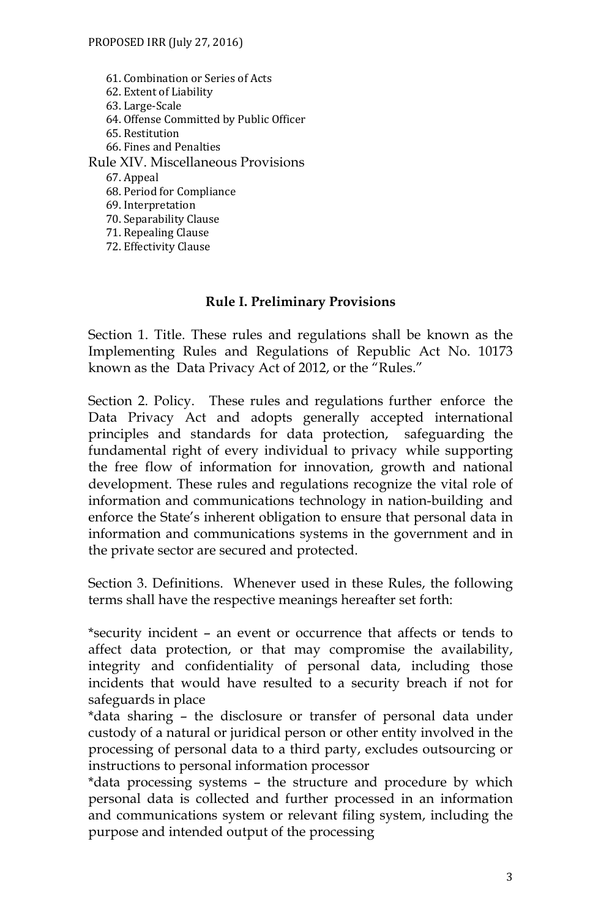61. Combination or Series of Acts 62. Extent of Liability 63. Large-Scale 64. Offense Committed by Public Officer 65. Restitution 66. Fines and Penalties Rule XIV. Miscellaneous Provisions 67. Appeal 68. Period for Compliance 69. Interpretation 70. Separability Clause

71. Repealing Clause 72. Effectivity Clause

#### **Rule I. Preliminary Provisions**

Section 1. Title. These rules and regulations shall be known as the Implementing Rules and Regulations of Republic Act No. 10173 known as the Data Privacy Act of 2012, or the "Rules."

Section 2. Policy. These rules and regulations further enforce the Data Privacy Act and adopts generally accepted international principles and standards for data protection, safeguarding the fundamental right of every individual to privacy while supporting the free flow of information for innovation, growth and national development. These rules and regulations recognize the vital role of information and communications technology in nation-building and enforce the State's inherent obligation to ensure that personal data in information and communications systems in the government and in the private sector are secured and protected.

Section 3. Definitions. Whenever used in these Rules, the following terms shall have the respective meanings hereafter set forth:

\*security incident – an event or occurrence that affects or tends to affect data protection, or that may compromise the availability, integrity and confidentiality of personal data, including those incidents that would have resulted to a security breach if not for safeguards in place

\*data sharing – the disclosure or transfer of personal data under custody of a natural or juridical person or other entity involved in the processing of personal data to a third party, excludes outsourcing or instructions to personal information processor

\*data processing systems – the structure and procedure by which personal data is collected and further processed in an information and communications system or relevant filing system, including the purpose and intended output of the processing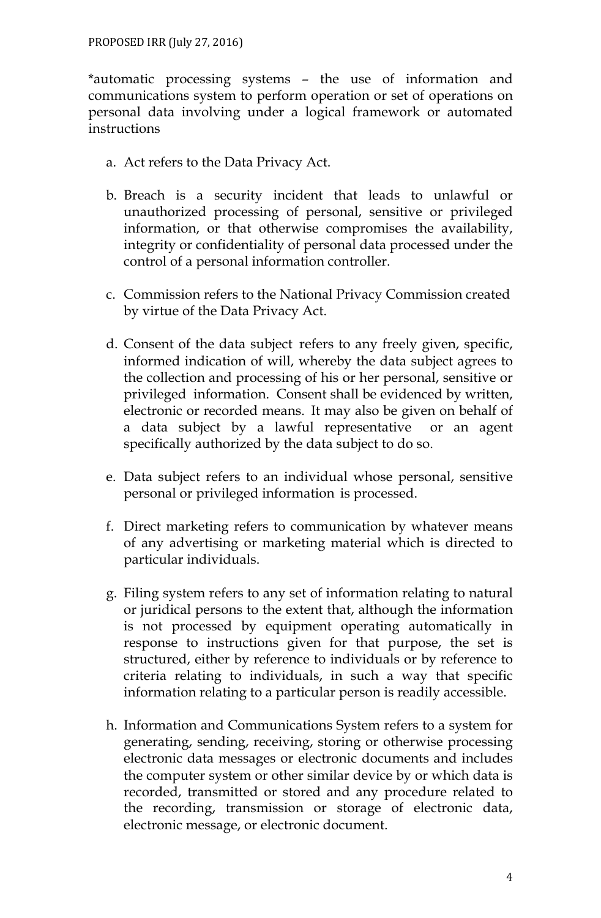\*automatic processing systems – the use of information and communications system to perform operation or set of operations on personal data involving under a logical framework or automated instructions

- a. Act refers to the Data Privacy Act.
- b. Breach is a security incident that leads to unlawful or unauthorized processing of personal, sensitive or privileged information, or that otherwise compromises the availability, integrity or confidentiality of personal data processed under the control of a personal information controller.
- c. Commission refers to the National Privacy Commission created by virtue of the Data Privacy Act.
- d. Consent of the data subject refers to any freely given, specific, informed indication of will, whereby the data subject agrees to the collection and processing of his or her personal, sensitive or privileged information. Consent shall be evidenced by written, electronic or recorded means. It may also be given on behalf of a data subject by a lawful representative or an agent specifically authorized by the data subject to do so.
- e. Data subject refers to an individual whose personal, sensitive personal or privileged information is processed.
- f. Direct marketing refers to communication by whatever means of any advertising or marketing material which is directed to particular individuals.
- g. Filing system refers to any set of information relating to natural or juridical persons to the extent that, although the information is not processed by equipment operating automatically in response to instructions given for that purpose, the set is structured, either by reference to individuals or by reference to criteria relating to individuals, in such a way that specific information relating to a particular person is readily accessible.
- h. Information and Communications System refers to a system for generating, sending, receiving, storing or otherwise processing electronic data messages or electronic documents and includes the computer system or other similar device by or which data is recorded, transmitted or stored and any procedure related to the recording, transmission or storage of electronic data, electronic message, or electronic document.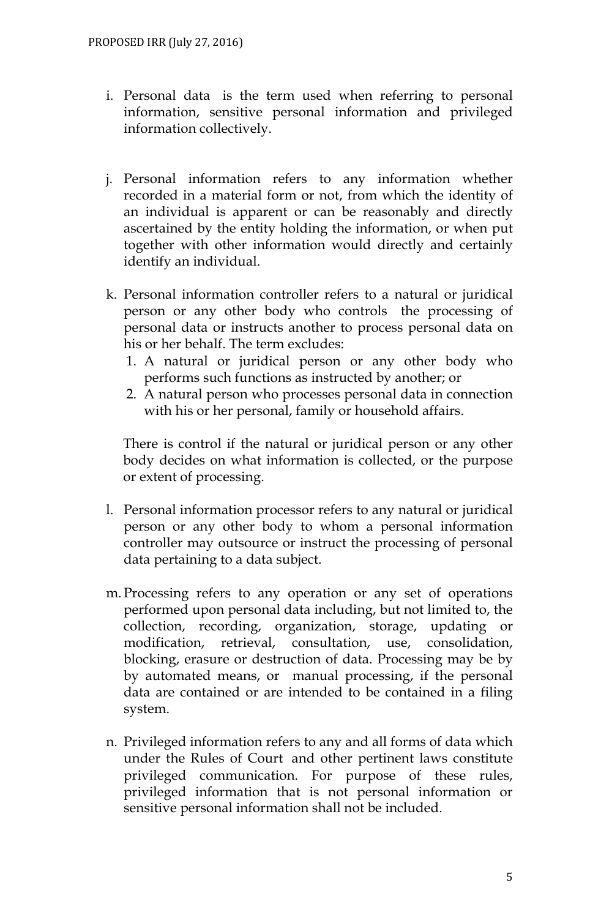- i. Personal data is the term used when referring to personal information, sensitive personal information and privileged information collectively.
- j. Personal information refers to any information whether recorded in a material form or not, from which the identity of an individual is apparent or can be reasonably and directly ascertained by the entity holding the information, or when put together with other information would directly and certainly identify an individual.
- k. Personal information controller refers to a natural or juridical person or any other body who controls the processing of personal data or instructs another to process personal data on his or her behalf. The term excludes:
	- 1. A natural or juridical person or any other body who performs such functions as instructed by another; or
	- 2. A natural person who processes personal data in connection with his or her personal, family or household affairs.

There is control if the natural or juridical person or any other body decides on what information is collected, or the purpose or extent of processing.

- l. Personal information processor refers to any natural or juridical person or any other body to whom a personal information controller may outsource or instruct the processing of personal data pertaining to a data subject.
- m. Processing refers to any operation or any set of operations performed upon personal data including, but not limited to, the collection, recording, organization, storage, updating or modification, retrieval, consultation, use, consolidation, blocking, erasure or destruction of data. Processing may be by by automated means, or manual processing, if the personal data are contained or are intended to be contained in a filing system.
- n. Privileged information refers to any and all forms of data which under the Rules of Court and other pertinent laws constitute privileged communication. For purpose of these rules, privileged information that is not personal information or sensitive personal information shall not be included.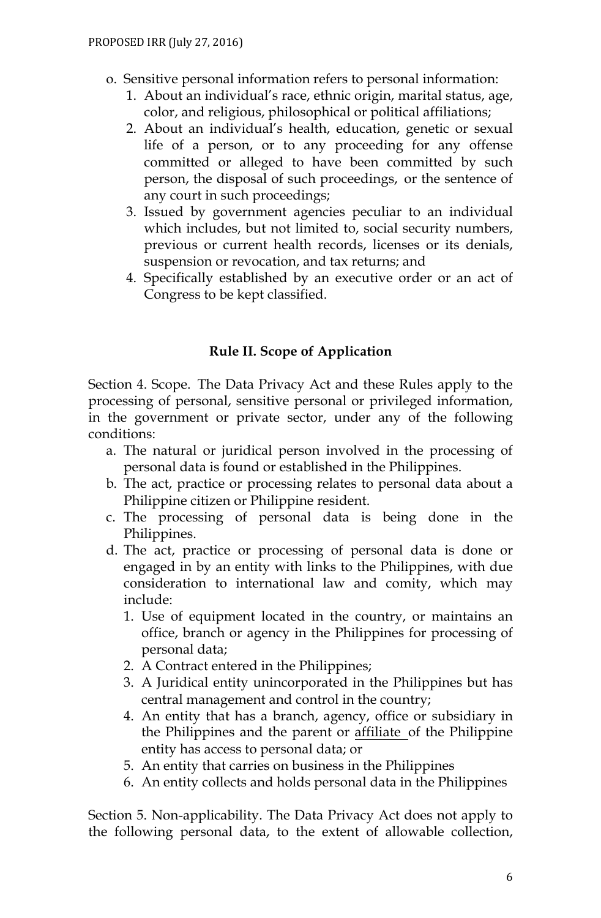- o. Sensitive personal information refers to personal information:
	- 1. About an individual's race, ethnic origin, marital status, age, color, and religious, philosophical or political affiliations;
	- 2. About an individual's health, education, genetic or sexual life of a person, or to any proceeding for any offense committed or alleged to have been committed by such person, the disposal of such proceedings, or the sentence of any court in such proceedings;
	- 3. Issued by government agencies peculiar to an individual which includes, but not limited to, social security numbers, previous or current health records, licenses or its denials, suspension or revocation, and tax returns; and
	- 4. Specifically established by an executive order or an act of Congress to be kept classified.

## **Rule II. Scope of Application**

Section 4. Scope. The Data Privacy Act and these Rules apply to the processing of personal, sensitive personal or privileged information, in the government or private sector, under any of the following conditions:

- a. The natural or juridical person involved in the processing of personal data is found or established in the Philippines.
- b. The act, practice or processing relates to personal data about a Philippine citizen or Philippine resident.
- c. The processing of personal data is being done in the Philippines.
- d. The act, practice or processing of personal data is done or engaged in by an entity with links to the Philippines, with due consideration to international law and comity, which may include:
	- 1. Use of equipment located in the country, or maintains an office, branch or agency in the Philippines for processing of personal data;
	- 2. A Contract entered in the Philippines;
	- 3. A Juridical entity unincorporated in the Philippines but has central management and control in the country;
	- 4. An entity that has a branch, agency, office or subsidiary in the Philippines and the parent or affiliate of the Philippine entity has access to personal data; or
	- 5. An entity that carries on business in the Philippines
	- 6. An entity collects and holds personal data in the Philippines

Section 5. Non-applicability. The Data Privacy Act does not apply to the following personal data, to the extent of allowable collection,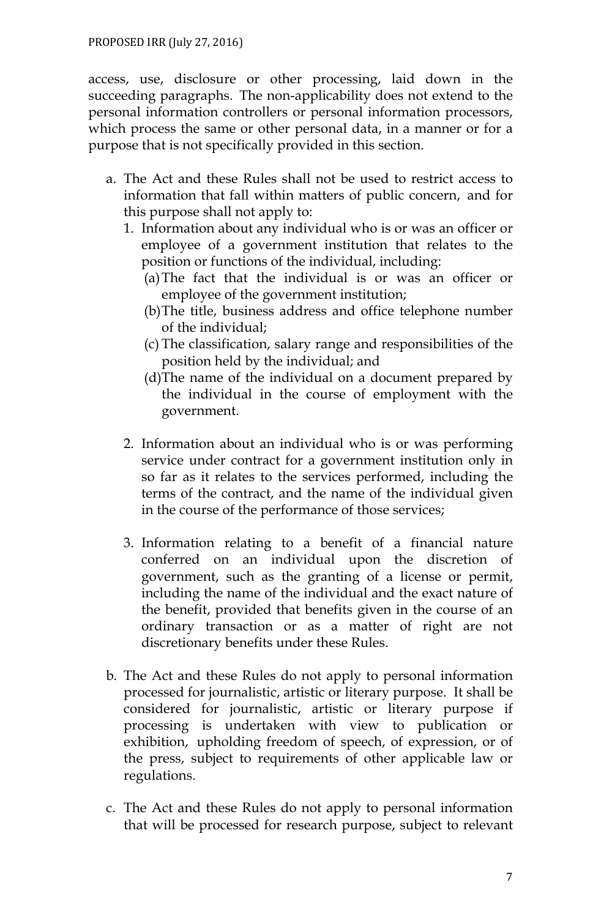access, use, disclosure or other processing, laid down in the succeeding paragraphs. The non-applicability does not extend to the personal information controllers or personal information processors, which process the same or other personal data, in a manner or for a purpose that is not specifically provided in this section.

- a. The Act and these Rules shall not be used to restrict access to information that fall within matters of public concern, and for this purpose shall not apply to:
	- 1. Information about any individual who is or was an officer or employee of a government institution that relates to the position or functions of the individual, including:
		- (a)The fact that the individual is or was an officer or employee of the government institution;
		- (b)The title, business address and office telephone number of the individual;
		- (c) The classification, salary range and responsibilities of the position held by the individual; and
		- (d)The name of the individual on a document prepared by the individual in the course of employment with the government.
	- 2. Information about an individual who is or was performing service under contract for a government institution only in so far as it relates to the services performed, including the terms of the contract, and the name of the individual given in the course of the performance of those services;
	- 3. Information relating to a benefit of a financial nature conferred on an individual upon the discretion of government, such as the granting of a license or permit, including the name of the individual and the exact nature of the benefit, provided that benefits given in the course of an ordinary transaction or as a matter of right are not discretionary benefits under these Rules.
- b. The Act and these Rules do not apply to personal information processed for journalistic, artistic or literary purpose. It shall be considered for journalistic, artistic or literary purpose if processing is undertaken with view to publication or exhibition, upholding freedom of speech, of expression, or of the press, subject to requirements of other applicable law or regulations.
- c. The Act and these Rules do not apply to personal information that will be processed for research purpose, subject to relevant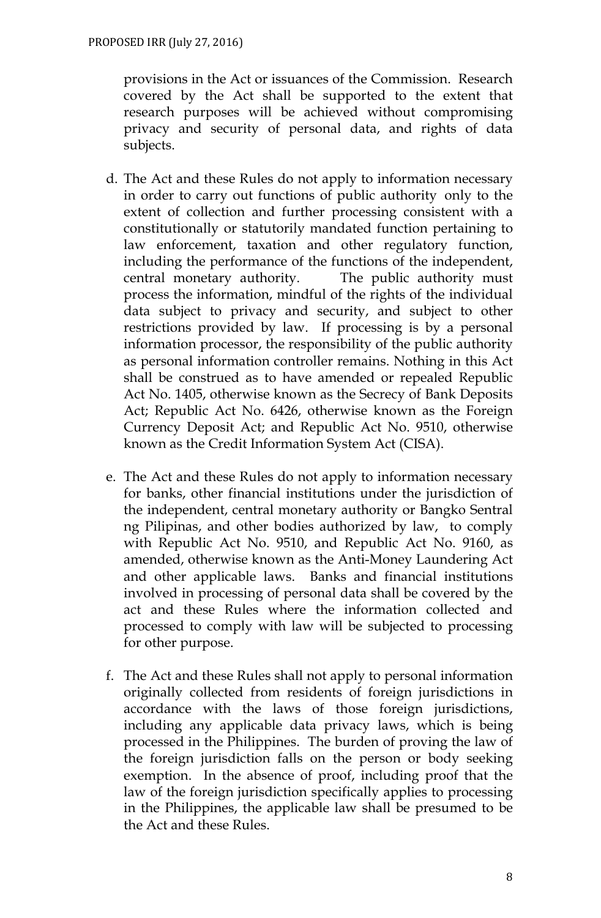provisions in the Act or issuances of the Commission. Research covered by the Act shall be supported to the extent that research purposes will be achieved without compromising privacy and security of personal data, and rights of data subjects.

- d. The Act and these Rules do not apply to information necessary in order to carry out functions of public authority only to the extent of collection and further processing consistent with a constitutionally or statutorily mandated function pertaining to law enforcement, taxation and other regulatory function, including the performance of the functions of the independent, central monetary authority. The public authority must process the information, mindful of the rights of the individual data subject to privacy and security, and subject to other restrictions provided by law. If processing is by a personal information processor, the responsibility of the public authority as personal information controller remains. Nothing in this Act shall be construed as to have amended or repealed Republic Act No. 1405, otherwise known as the Secrecy of Bank Deposits Act; Republic Act No. 6426, otherwise known as the Foreign Currency Deposit Act; and Republic Act No. 9510, otherwise known as the Credit Information System Act (CISA).
- e. The Act and these Rules do not apply to information necessary for banks, other financial institutions under the jurisdiction of the independent, central monetary authority or Bangko Sentral ng Pilipinas, and other bodies authorized by law, to comply with Republic Act No. 9510, and Republic Act No. 9160, as amended, otherwise known as the Anti-Money Laundering Act and other applicable laws. Banks and financial institutions involved in processing of personal data shall be covered by the act and these Rules where the information collected and processed to comply with law will be subjected to processing for other purpose.
- f. The Act and these Rules shall not apply to personal information originally collected from residents of foreign jurisdictions in accordance with the laws of those foreign jurisdictions, including any applicable data privacy laws, which is being processed in the Philippines. The burden of proving the law of the foreign jurisdiction falls on the person or body seeking exemption. In the absence of proof, including proof that the law of the foreign jurisdiction specifically applies to processing in the Philippines, the applicable law shall be presumed to be the Act and these Rules.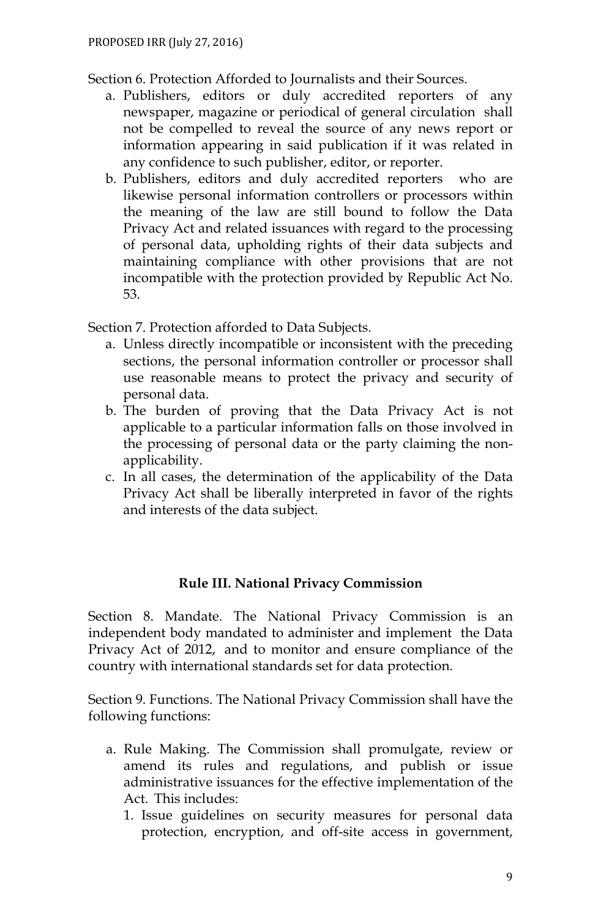Section 6. Protection Afforded to Journalists and their Sources.

- a. Publishers, editors or duly accredited reporters of any newspaper, magazine or periodical of general circulation shall not be compelled to reveal the source of any news report or information appearing in said publication if it was related in any confidence to such publisher, editor, or reporter.
- b. Publishers, editors and duly accredited reporters who are likewise personal information controllers or processors within the meaning of the law are still bound to follow the Data Privacy Act and related issuances with regard to the processing of personal data, upholding rights of their data subjects and maintaining compliance with other provisions that are not incompatible with the protection provided by Republic Act No. 53.

Section 7. Protection afforded to Data Subjects.

- a. Unless directly incompatible or inconsistent with the preceding sections, the personal information controller or processor shall use reasonable means to protect the privacy and security of personal data.
- b. The burden of proving that the Data Privacy Act is not applicable to a particular information falls on those involved in the processing of personal data or the party claiming the nonapplicability.
- c. In all cases, the determination of the applicability of the Data Privacy Act shall be liberally interpreted in favor of the rights and interests of the data subject.

#### **Rule III. National Privacy Commission**

Section 8. Mandate. The National Privacy Commission is an independent body mandated to administer and implement the Data Privacy Act of 2012, and to monitor and ensure compliance of the country with international standards set for data protection.

Section 9. Functions. The National Privacy Commission shall have the following functions:

- a. Rule Making. The Commission shall promulgate, review or amend its rules and regulations, and publish or issue administrative issuances for the effective implementation of the Act. This includes:
	- 1. Issue guidelines on security measures for personal data protection, encryption, and off-site access in government,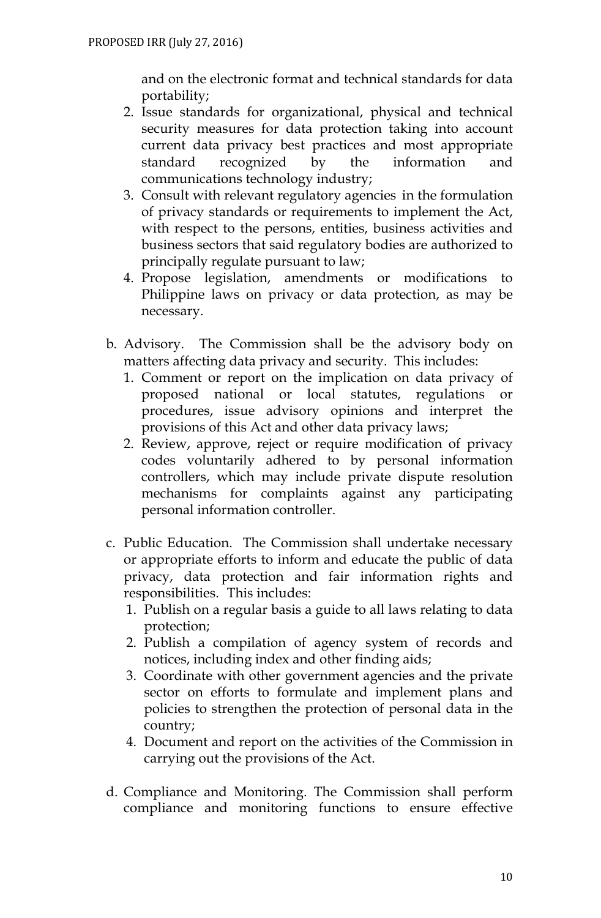and on the electronic format and technical standards for data portability;

- 2. Issue standards for organizational, physical and technical security measures for data protection taking into account current data privacy best practices and most appropriate standard recognized by the information and communications technology industry;
- 3. Consult with relevant regulatory agencies in the formulation of privacy standards or requirements to implement the Act, with respect to the persons, entities, business activities and business sectors that said regulatory bodies are authorized to principally regulate pursuant to law;
- 4. Propose legislation, amendments or modifications to Philippine laws on privacy or data protection, as may be necessary.
- b. Advisory. The Commission shall be the advisory body on matters affecting data privacy and security. This includes:
	- 1. Comment or report on the implication on data privacy of proposed national or local statutes, regulations or procedures, issue advisory opinions and interpret the provisions of this Act and other data privacy laws;
	- 2. Review, approve, reject or require modification of privacy codes voluntarily adhered to by personal information controllers, which may include private dispute resolution mechanisms for complaints against any participating personal information controller.
- c. Public Education. The Commission shall undertake necessary or appropriate efforts to inform and educate the public of data privacy, data protection and fair information rights and responsibilities. This includes:
	- 1. Publish on a regular basis a guide to all laws relating to data protection;
	- 2. Publish a compilation of agency system of records and notices, including index and other finding aids;
	- 3. Coordinate with other government agencies and the private sector on efforts to formulate and implement plans and policies to strengthen the protection of personal data in the country;
	- 4. Document and report on the activities of the Commission in carrying out the provisions of the Act.
- d. Compliance and Monitoring. The Commission shall perform compliance and monitoring functions to ensure effective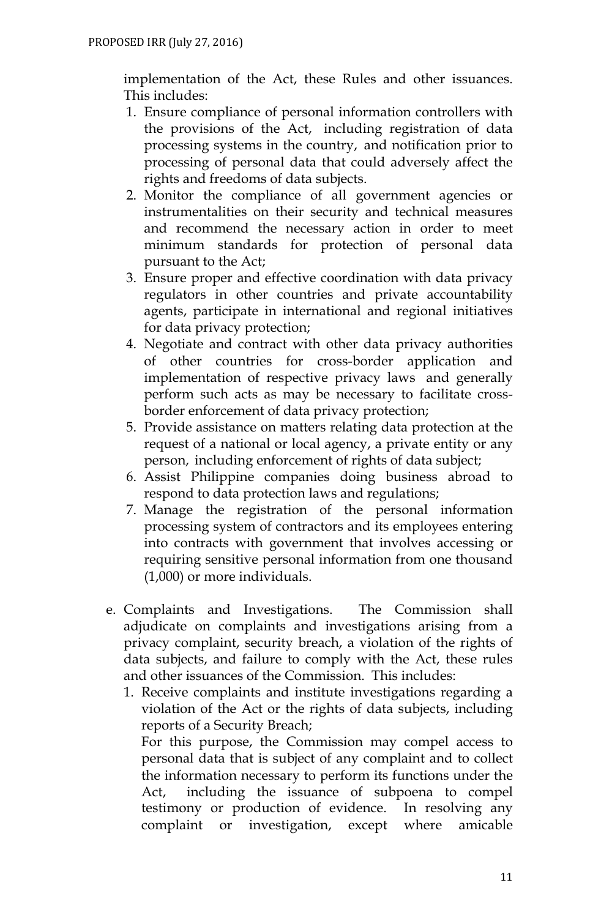implementation of the Act, these Rules and other issuances. This includes:

- 1. Ensure compliance of personal information controllers with the provisions of the Act, including registration of data processing systems in the country, and notification prior to processing of personal data that could adversely affect the rights and freedoms of data subjects.
- 2. Monitor the compliance of all government agencies or instrumentalities on their security and technical measures and recommend the necessary action in order to meet minimum standards for protection of personal data pursuant to the Act;
- 3. Ensure proper and effective coordination with data privacy regulators in other countries and private accountability agents, participate in international and regional initiatives for data privacy protection;
- 4. Negotiate and contract with other data privacy authorities of other countries for cross-border application and implementation of respective privacy laws and generally perform such acts as may be necessary to facilitate crossborder enforcement of data privacy protection;
- 5. Provide assistance on matters relating data protection at the request of a national or local agency, a private entity or any person, including enforcement of rights of data subject;
- 6. Assist Philippine companies doing business abroad to respond to data protection laws and regulations;
- 7. Manage the registration of the personal information processing system of contractors and its employees entering into contracts with government that involves accessing or requiring sensitive personal information from one thousand (1,000) or more individuals.
- e. Complaints and Investigations. The Commission shall adjudicate on complaints and investigations arising from a privacy complaint, security breach, a violation of the rights of data subjects, and failure to comply with the Act, these rules and other issuances of the Commission. This includes:
	- 1. Receive complaints and institute investigations regarding a violation of the Act or the rights of data subjects, including reports of a Security Breach;

For this purpose, the Commission may compel access to personal data that is subject of any complaint and to collect the information necessary to perform its functions under the Act, including the issuance of subpoena to compel testimony or production of evidence. In resolving any complaint or investigation, except where amicable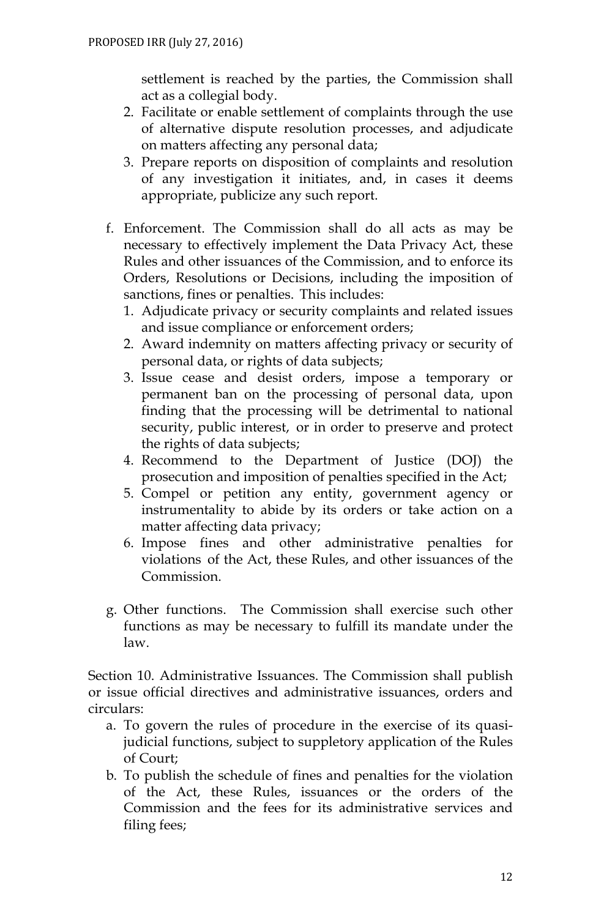settlement is reached by the parties, the Commission shall act as a collegial body.

- 2. Facilitate or enable settlement of complaints through the use of alternative dispute resolution processes, and adjudicate on matters affecting any personal data;
- 3. Prepare reports on disposition of complaints and resolution of any investigation it initiates, and, in cases it deems appropriate, publicize any such report.
- f. Enforcement. The Commission shall do all acts as may be necessary to effectively implement the Data Privacy Act, these Rules and other issuances of the Commission, and to enforce its Orders, Resolutions or Decisions, including the imposition of sanctions, fines or penalties. This includes:
	- 1. Adjudicate privacy or security complaints and related issues and issue compliance or enforcement orders;
	- 2. Award indemnity on matters affecting privacy or security of personal data, or rights of data subjects;
	- 3. Issue cease and desist orders, impose a temporary or permanent ban on the processing of personal data, upon finding that the processing will be detrimental to national security, public interest, or in order to preserve and protect the rights of data subjects;
	- 4. Recommend to the Department of Justice (DOJ) the prosecution and imposition of penalties specified in the Act;
	- 5. Compel or petition any entity, government agency or instrumentality to abide by its orders or take action on a matter affecting data privacy;
	- 6. Impose fines and other administrative penalties for violations of the Act, these Rules, and other issuances of the Commission.
- g. Other functions. The Commission shall exercise such other functions as may be necessary to fulfill its mandate under the law.

Section 10. Administrative Issuances. The Commission shall publish or issue official directives and administrative issuances, orders and circulars:

- a. To govern the rules of procedure in the exercise of its quasijudicial functions, subject to suppletory application of the Rules of Court;
- b. To publish the schedule of fines and penalties for the violation of the Act, these Rules, issuances or the orders of the Commission and the fees for its administrative services and filing fees;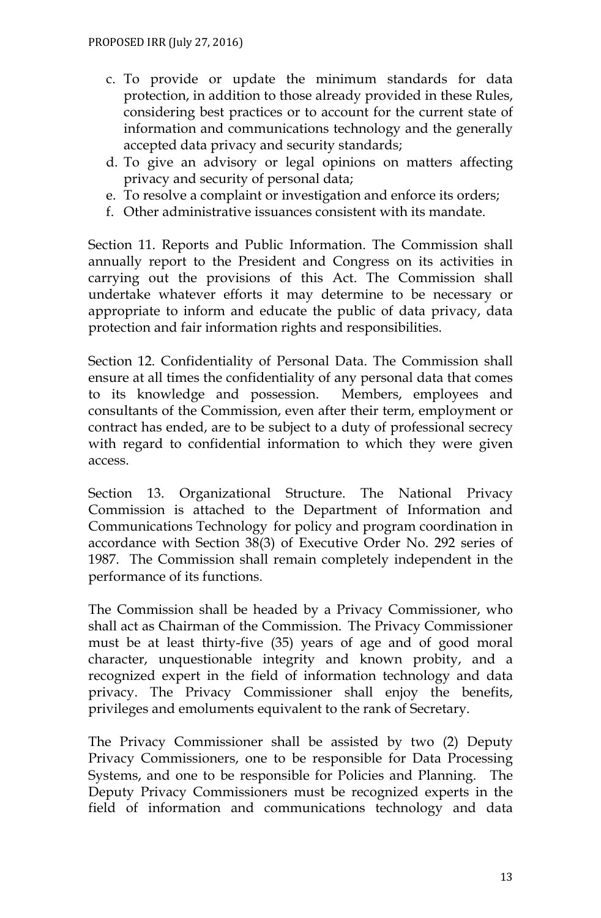- c. To provide or update the minimum standards for data protection, in addition to those already provided in these Rules, considering best practices or to account for the current state of information and communications technology and the generally accepted data privacy and security standards;
- d. To give an advisory or legal opinions on matters affecting privacy and security of personal data;
- e. To resolve a complaint or investigation and enforce its orders;
- f. Other administrative issuances consistent with its mandate.

Section 11. Reports and Public Information. The Commission shall annually report to the President and Congress on its activities in carrying out the provisions of this Act. The Commission shall undertake whatever efforts it may determine to be necessary or appropriate to inform and educate the public of data privacy, data protection and fair information rights and responsibilities.

Section 12. Confidentiality of Personal Data. The Commission shall ensure at all times the confidentiality of any personal data that comes to its knowledge and possession. Members, employees and consultants of the Commission, even after their term, employment or contract has ended, are to be subject to a duty of professional secrecy with regard to confidential information to which they were given access.

Section 13. Organizational Structure. The National Privacy Commission is attached to the Department of Information and Communications Technology for policy and program coordination in accordance with Section 38(3) of Executive Order No. 292 series of 1987. The Commission shall remain completely independent in the performance of its functions.

The Commission shall be headed by a Privacy Commissioner, who shall act as Chairman of the Commission. The Privacy Commissioner must be at least thirty-five (35) years of age and of good moral character, unquestionable integrity and known probity, and a recognized expert in the field of information technology and data privacy. The Privacy Commissioner shall enjoy the benefits, privileges and emoluments equivalent to the rank of Secretary.

The Privacy Commissioner shall be assisted by two (2) Deputy Privacy Commissioners, one to be responsible for Data Processing Systems, and one to be responsible for Policies and Planning. The Deputy Privacy Commissioners must be recognized experts in the field of information and communications technology and data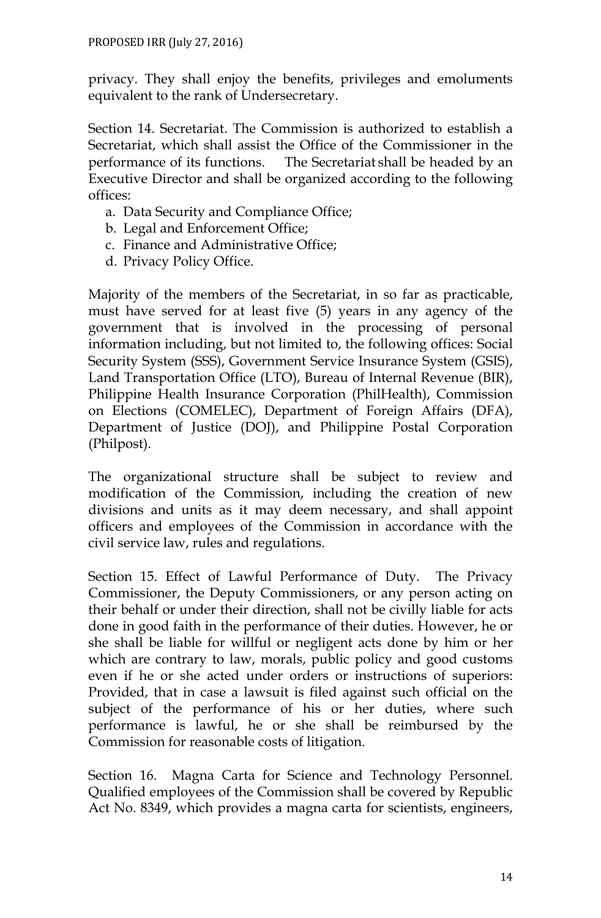privacy. They shall enjoy the benefits, privileges and emoluments equivalent to the rank of Undersecretary.

Section 14. Secretariat. The Commission is authorized to establish a Secretariat, which shall assist the Office of the Commissioner in the performance of its functions. The Secretariat shall be headed by an Executive Director and shall be organized according to the following offices:

- a. Data Security and Compliance Office;
- b. Legal and Enforcement Office;
- c. Finance and Administrative Office;
- d. Privacy Policy Office.

Majority of the members of the Secretariat, in so far as practicable, must have served for at least five (5) years in any agency of the government that is involved in the processing of personal information including, but not limited to, the following offices: Social Security System (SSS), Government Service Insurance System (GSIS), Land Transportation Office (LTO), Bureau of Internal Revenue (BIR), Philippine Health Insurance Corporation (PhilHealth), Commission on Elections (COMELEC), Department of Foreign Affairs (DFA), Department of Justice (DOJ), and Philippine Postal Corporation (Philpost).

The organizational structure shall be subject to review and modification of the Commission, including the creation of new divisions and units as it may deem necessary, and shall appoint officers and employees of the Commission in accordance with the civil service law, rules and regulations.

Section 15. Effect of Lawful Performance of Duty. The Privacy Commissioner, the Deputy Commissioners, or any person acting on their behalf or under their direction, shall not be civilly liable for acts done in good faith in the performance of their duties. However, he or she shall be liable for willful or negligent acts done by him or her which are contrary to law, morals, public policy and good customs even if he or she acted under orders or instructions of superiors: Provided, that in case a lawsuit is filed against such official on the subject of the performance of his or her duties, where such performance is lawful, he or she shall be reimbursed by the Commission for reasonable costs of litigation.

Section 16. Magna Carta for Science and Technology Personnel. Qualified employees of the Commission shall be covered by Republic Act No. 8349, which provides a magna carta for scientists, engineers,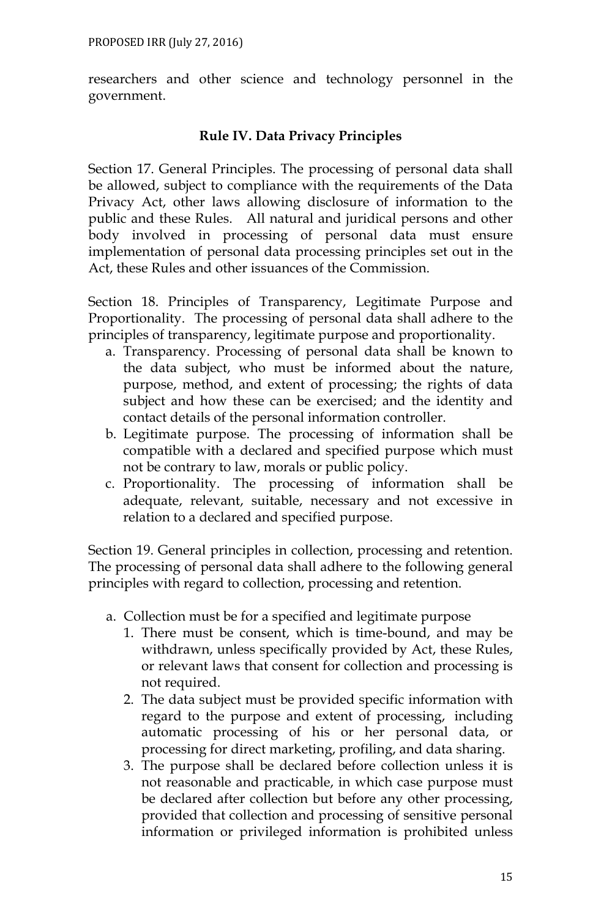researchers and other science and technology personnel in the government.

# **Rule IV. Data Privacy Principles**

Section 17. General Principles. The processing of personal data shall be allowed, subject to compliance with the requirements of the Data Privacy Act, other laws allowing disclosure of information to the public and these Rules. All natural and juridical persons and other body involved in processing of personal data must ensure implementation of personal data processing principles set out in the Act, these Rules and other issuances of the Commission.

Section 18. Principles of Transparency, Legitimate Purpose and Proportionality. The processing of personal data shall adhere to the principles of transparency, legitimate purpose and proportionality.

- a. Transparency. Processing of personal data shall be known to the data subject, who must be informed about the nature, purpose, method, and extent of processing; the rights of data subject and how these can be exercised; and the identity and contact details of the personal information controller.
- b. Legitimate purpose. The processing of information shall be compatible with a declared and specified purpose which must not be contrary to law, morals or public policy.
- c. Proportionality. The processing of information shall be adequate, relevant, suitable, necessary and not excessive in relation to a declared and specified purpose.

Section 19. General principles in collection, processing and retention. The processing of personal data shall adhere to the following general principles with regard to collection, processing and retention.

- a. Collection must be for a specified and legitimate purpose
	- 1. There must be consent, which is time-bound, and may be withdrawn, unless specifically provided by Act, these Rules, or relevant laws that consent for collection and processing is not required.
	- 2. The data subject must be provided specific information with regard to the purpose and extent of processing, including automatic processing of his or her personal data, or processing for direct marketing, profiling, and data sharing.
	- 3. The purpose shall be declared before collection unless it is not reasonable and practicable, in which case purpose must be declared after collection but before any other processing, provided that collection and processing of sensitive personal information or privileged information is prohibited unless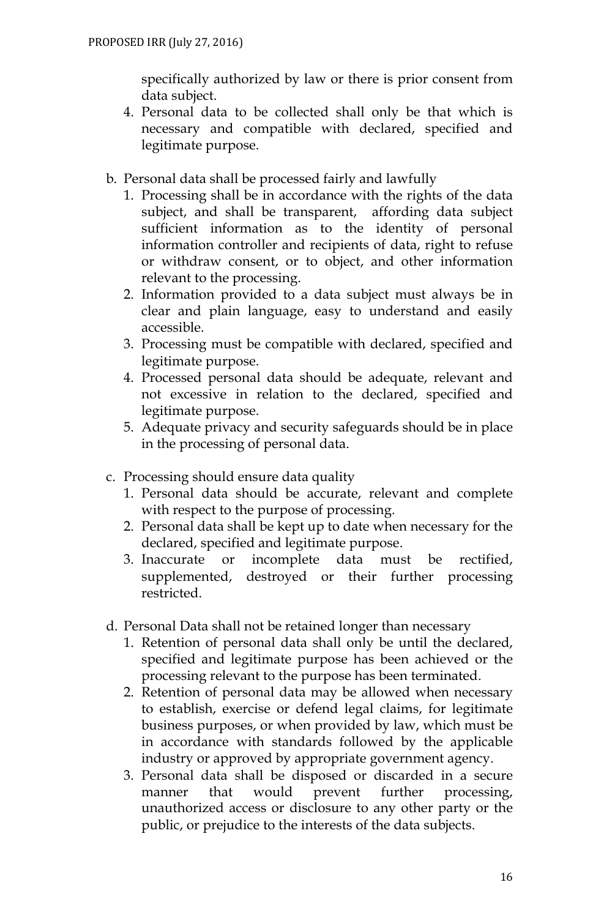specifically authorized by law or there is prior consent from data subject.

- 4. Personal data to be collected shall only be that which is necessary and compatible with declared, specified and legitimate purpose.
- b. Personal data shall be processed fairly and lawfully
	- 1. Processing shall be in accordance with the rights of the data subject, and shall be transparent, affording data subject sufficient information as to the identity of personal information controller and recipients of data, right to refuse or withdraw consent, or to object, and other information relevant to the processing.
	- 2. Information provided to a data subject must always be in clear and plain language, easy to understand and easily accessible.
	- 3. Processing must be compatible with declared, specified and legitimate purpose.
	- 4. Processed personal data should be adequate, relevant and not excessive in relation to the declared, specified and legitimate purpose.
	- 5. Adequate privacy and security safeguards should be in place in the processing of personal data.
- c. Processing should ensure data quality
	- 1. Personal data should be accurate, relevant and complete with respect to the purpose of processing.
	- 2. Personal data shall be kept up to date when necessary for the declared, specified and legitimate purpose.
	- 3. Inaccurate or incomplete data must be rectified, supplemented, destroyed or their further processing restricted.
- d. Personal Data shall not be retained longer than necessary
	- 1. Retention of personal data shall only be until the declared, specified and legitimate purpose has been achieved or the processing relevant to the purpose has been terminated.
	- 2. Retention of personal data may be allowed when necessary to establish, exercise or defend legal claims, for legitimate business purposes, or when provided by law, which must be in accordance with standards followed by the applicable industry or approved by appropriate government agency.
	- 3. Personal data shall be disposed or discarded in a secure manner that would prevent further processing, unauthorized access or disclosure to any other party or the public, or prejudice to the interests of the data subjects.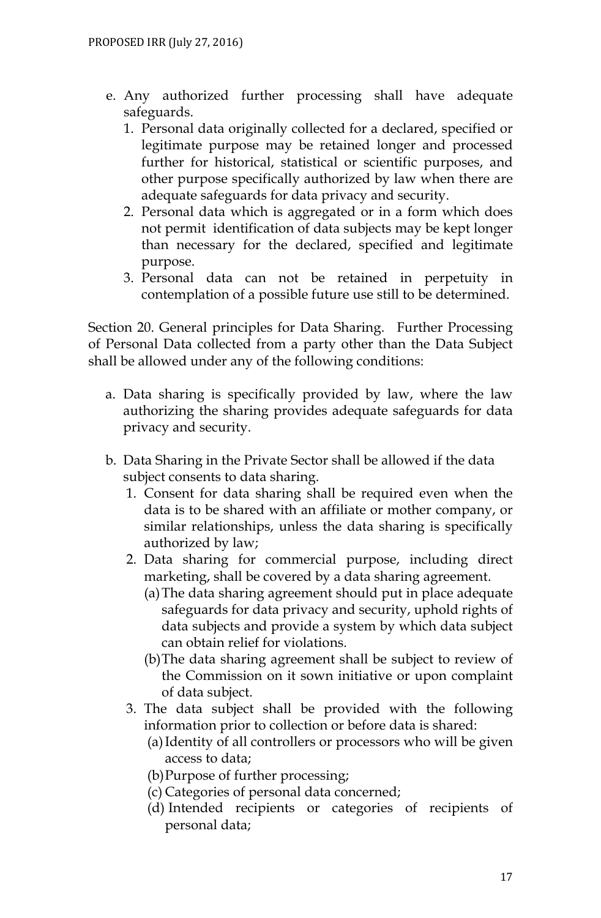- e. Any authorized further processing shall have adequate safeguards.
	- 1. Personal data originally collected for a declared, specified or legitimate purpose may be retained longer and processed further for historical, statistical or scientific purposes, and other purpose specifically authorized by law when there are adequate safeguards for data privacy and security.
	- 2. Personal data which is aggregated or in a form which does not permit identification of data subjects may be kept longer than necessary for the declared, specified and legitimate purpose.
	- 3. Personal data can not be retained in perpetuity in contemplation of a possible future use still to be determined.

Section 20. General principles for Data Sharing. Further Processing of Personal Data collected from a party other than the Data Subject shall be allowed under any of the following conditions:

- a. Data sharing is specifically provided by law, where the law authorizing the sharing provides adequate safeguards for data privacy and security.
- b. Data Sharing in the Private Sector shall be allowed if the data subject consents to data sharing.
	- 1. Consent for data sharing shall be required even when the data is to be shared with an affiliate or mother company, or similar relationships, unless the data sharing is specifically authorized by law;
	- 2. Data sharing for commercial purpose, including direct marketing, shall be covered by a data sharing agreement.
		- (a)The data sharing agreement should put in place adequate safeguards for data privacy and security, uphold rights of data subjects and provide a system by which data subject can obtain relief for violations.
		- (b)The data sharing agreement shall be subject to review of the Commission on it sown initiative or upon complaint of data subject.
	- 3. The data subject shall be provided with the following information prior to collection or before data is shared:
		- (a)Identity of all controllers or processors who will be given access to data;
		- (b)Purpose of further processing;
		- (c) Categories of personal data concerned;
		- (d) Intended recipients or categories of recipients of personal data;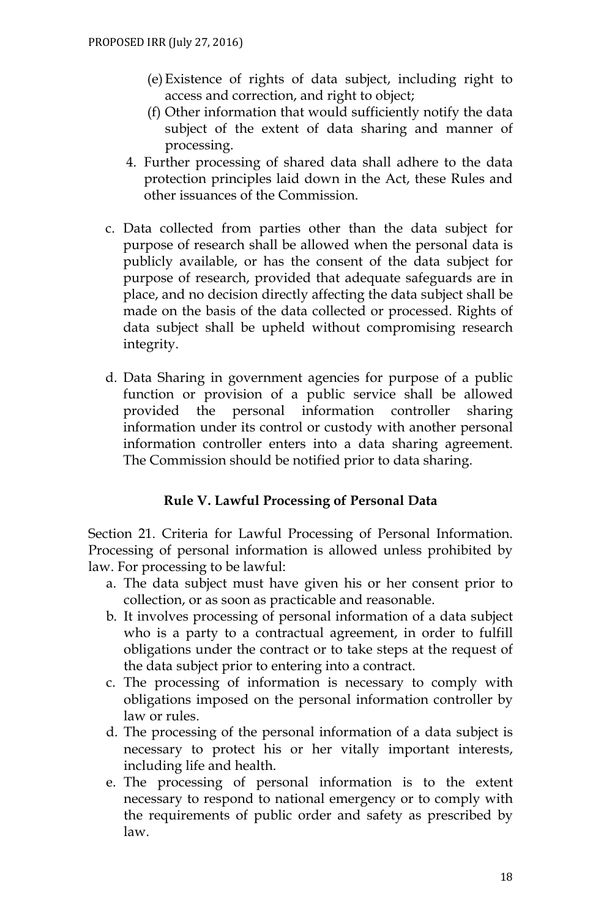- (e)Existence of rights of data subject, including right to access and correction, and right to object;
- (f) Other information that would sufficiently notify the data subject of the extent of data sharing and manner of processing.
- 4. Further processing of shared data shall adhere to the data protection principles laid down in the Act, these Rules and other issuances of the Commission.
- c. Data collected from parties other than the data subject for purpose of research shall be allowed when the personal data is publicly available, or has the consent of the data subject for purpose of research, provided that adequate safeguards are in place, and no decision directly affecting the data subject shall be made on the basis of the data collected or processed. Rights of data subject shall be upheld without compromising research integrity.
- d. Data Sharing in government agencies for purpose of a public function or provision of a public service shall be allowed provided the personal information controller sharing information under its control or custody with another personal information controller enters into a data sharing agreement. The Commission should be notified prior to data sharing.

# **Rule V. Lawful Processing of Personal Data**

Section 21. Criteria for Lawful Processing of Personal Information. Processing of personal information is allowed unless prohibited by law. For processing to be lawful:

- a. The data subject must have given his or her consent prior to collection, or as soon as practicable and reasonable.
- b. It involves processing of personal information of a data subject who is a party to a contractual agreement, in order to fulfill obligations under the contract or to take steps at the request of the data subject prior to entering into a contract.
- c. The processing of information is necessary to comply with obligations imposed on the personal information controller by law or rules.
- d. The processing of the personal information of a data subject is necessary to protect his or her vitally important interests, including life and health.
- e. The processing of personal information is to the extent necessary to respond to national emergency or to comply with the requirements of public order and safety as prescribed by law.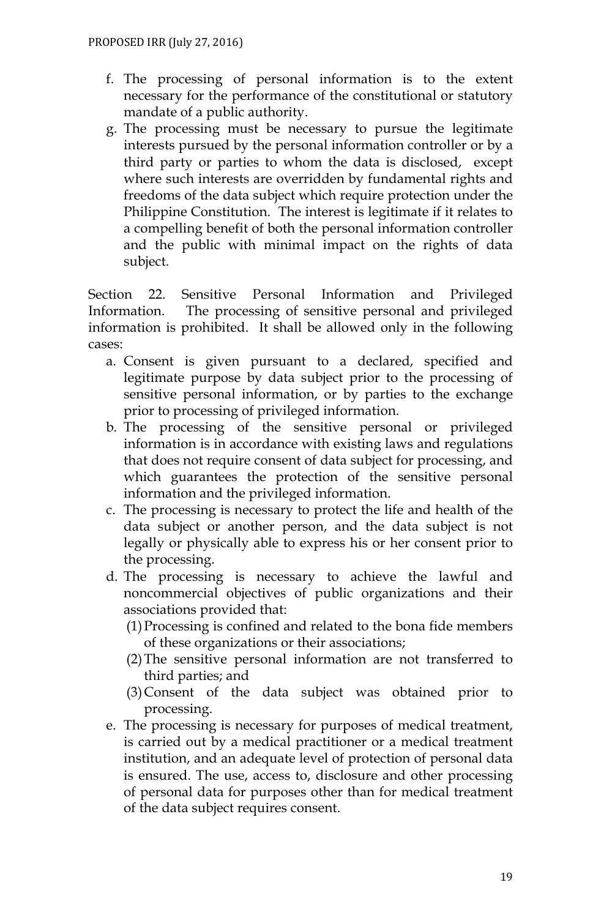- f. The processing of personal information is to the extent necessary for the performance of the constitutional or statutory mandate of a public authority.
- g. The processing must be necessary to pursue the legitimate interests pursued by the personal information controller or by a third party or parties to whom the data is disclosed, except where such interests are overridden by fundamental rights and freedoms of the data subject which require protection under the Philippine Constitution. The interest is legitimate if it relates to a compelling benefit of both the personal information controller and the public with minimal impact on the rights of data subject.

Section 22. Sensitive Personal Information and Privileged Information. The processing of sensitive personal and privileged information is prohibited. It shall be allowed only in the following cases:

- a. Consent is given pursuant to a declared, specified and legitimate purpose by data subject prior to the processing of sensitive personal information, or by parties to the exchange prior to processing of privileged information.
- b. The processing of the sensitive personal or privileged information is in accordance with existing laws and regulations that does not require consent of data subject for processing, and which guarantees the protection of the sensitive personal information and the privileged information.
- c. The processing is necessary to protect the life and health of the data subject or another person, and the data subject is not legally or physically able to express his or her consent prior to the processing.
- d. The processing is necessary to achieve the lawful and noncommercial objectives of public organizations and their associations provided that:
	- (1)Processing is confined and related to the bona fide members of these organizations or their associations;
	- (2)The sensitive personal information are not transferred to third parties; and
	- (3)Consent of the data subject was obtained prior to processing.
- e. The processing is necessary for purposes of medical treatment, is carried out by a medical practitioner or a medical treatment institution, and an adequate level of protection of personal data is ensured. The use, access to, disclosure and other processing of personal data for purposes other than for medical treatment of the data subject requires consent.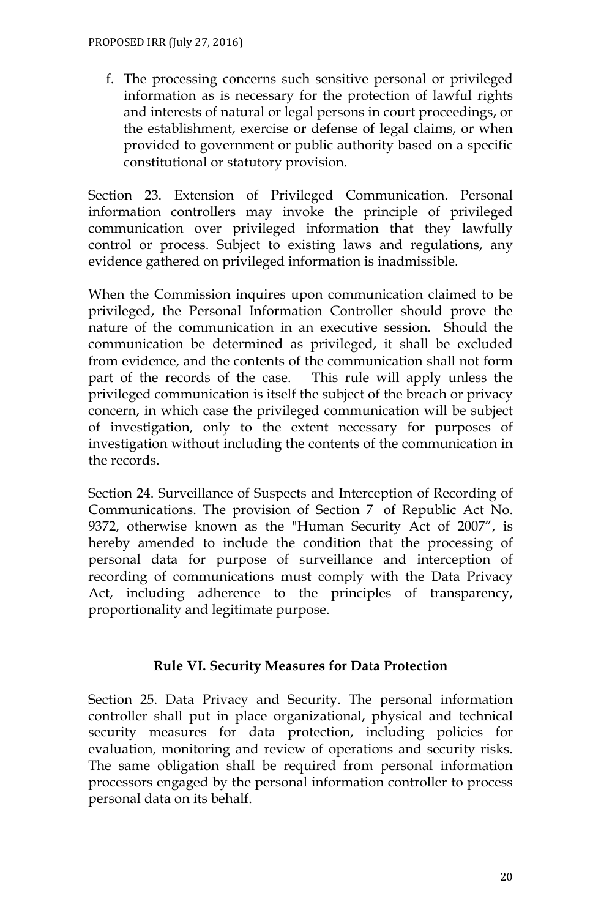f. The processing concerns such sensitive personal or privileged information as is necessary for the protection of lawful rights and interests of natural or legal persons in court proceedings, or the establishment, exercise or defense of legal claims, or when provided to government or public authority based on a specific constitutional or statutory provision.

Section 23. Extension of Privileged Communication. Personal information controllers may invoke the principle of privileged communication over privileged information that they lawfully control or process. Subject to existing laws and regulations, any evidence gathered on privileged information is inadmissible.

When the Commission inquires upon communication claimed to be privileged, the Personal Information Controller should prove the nature of the communication in an executive session. Should the communication be determined as privileged, it shall be excluded from evidence, and the contents of the communication shall not form part of the records of the case. This rule will apply unless the privileged communication is itself the subject of the breach or privacy concern, in which case the privileged communication will be subject of investigation, only to the extent necessary for purposes of investigation without including the contents of the communication in the records.

Section 24. Surveillance of Suspects and Interception of Recording of Communications. The provision of Section 7 of Republic Act No. 9372, otherwise known as the "Human Security Act of 2007", is hereby amended to include the condition that the processing of personal data for purpose of surveillance and interception of recording of communications must comply with the Data Privacy Act, including adherence to the principles of transparency, proportionality and legitimate purpose.

# **Rule VI. Security Measures for Data Protection**

Section 25. Data Privacy and Security. The personal information controller shall put in place organizational, physical and technical security measures for data protection, including policies for evaluation, monitoring and review of operations and security risks. The same obligation shall be required from personal information processors engaged by the personal information controller to process personal data on its behalf.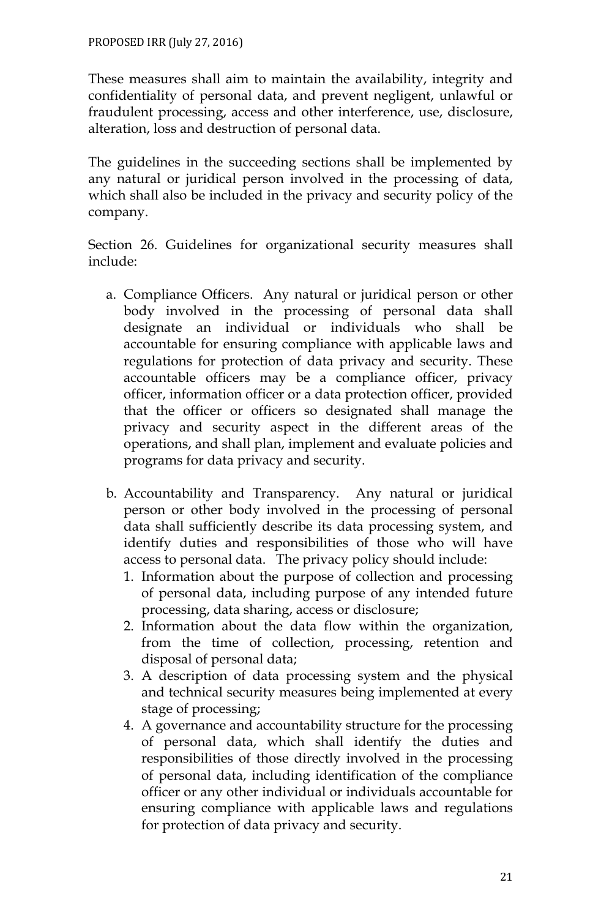These measures shall aim to maintain the availability, integrity and confidentiality of personal data, and prevent negligent, unlawful or fraudulent processing, access and other interference, use, disclosure, alteration, loss and destruction of personal data.

The guidelines in the succeeding sections shall be implemented by any natural or juridical person involved in the processing of data, which shall also be included in the privacy and security policy of the company.

Section 26. Guidelines for organizational security measures shall include:

- a. Compliance Officers. Any natural or juridical person or other body involved in the processing of personal data shall designate an individual or individuals who shall be accountable for ensuring compliance with applicable laws and regulations for protection of data privacy and security. These accountable officers may be a compliance officer, privacy officer, information officer or a data protection officer, provided that the officer or officers so designated shall manage the privacy and security aspect in the different areas of the operations, and shall plan, implement and evaluate policies and programs for data privacy and security.
- b. Accountability and Transparency. Any natural or juridical person or other body involved in the processing of personal data shall sufficiently describe its data processing system, and identify duties and responsibilities of those who will have access to personal data. The privacy policy should include:
	- 1. Information about the purpose of collection and processing of personal data, including purpose of any intended future processing, data sharing, access or disclosure;
	- 2. Information about the data flow within the organization, from the time of collection, processing, retention and disposal of personal data;
	- 3. A description of data processing system and the physical and technical security measures being implemented at every stage of processing;
	- 4. A governance and accountability structure for the processing of personal data, which shall identify the duties and responsibilities of those directly involved in the processing of personal data, including identification of the compliance officer or any other individual or individuals accountable for ensuring compliance with applicable laws and regulations for protection of data privacy and security.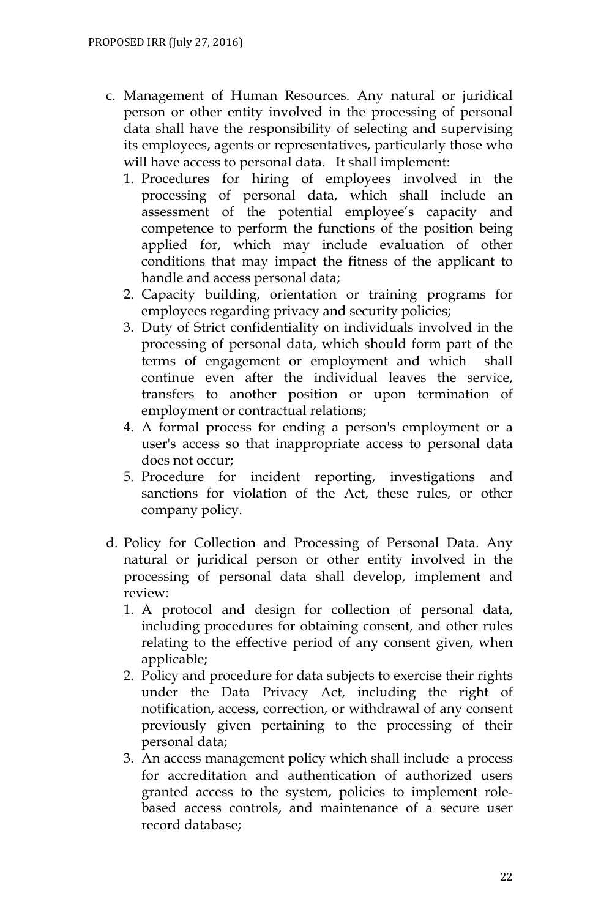- c. Management of Human Resources. Any natural or juridical person or other entity involved in the processing of personal data shall have the responsibility of selecting and supervising its employees, agents or representatives, particularly those who will have access to personal data. It shall implement:
	- 1. Procedures for hiring of employees involved in the processing of personal data, which shall include an assessment of the potential employee's capacity and competence to perform the functions of the position being applied for, which may include evaluation of other conditions that may impact the fitness of the applicant to handle and access personal data;
	- 2. Capacity building, orientation or training programs for employees regarding privacy and security policies;
	- 3. Duty of Strict confidentiality on individuals involved in the processing of personal data, which should form part of the terms of engagement or employment and which shall continue even after the individual leaves the service, transfers to another position or upon termination of employment or contractual relations;
	- 4. A formal process for ending a person's employment or a user's access so that inappropriate access to personal data does not occur;
	- 5. Procedure for incident reporting, investigations and sanctions for violation of the Act, these rules, or other company policy.
- d. Policy for Collection and Processing of Personal Data. Any natural or juridical person or other entity involved in the processing of personal data shall develop, implement and review:
	- 1. A protocol and design for collection of personal data, including procedures for obtaining consent, and other rules relating to the effective period of any consent given, when applicable;
	- 2. Policy and procedure for data subjects to exercise their rights under the Data Privacy Act, including the right of notification, access, correction, or withdrawal of any consent previously given pertaining to the processing of their personal data;
	- 3. An access management policy which shall include a process for accreditation and authentication of authorized users granted access to the system, policies to implement rolebased access controls, and maintenance of a secure user record database;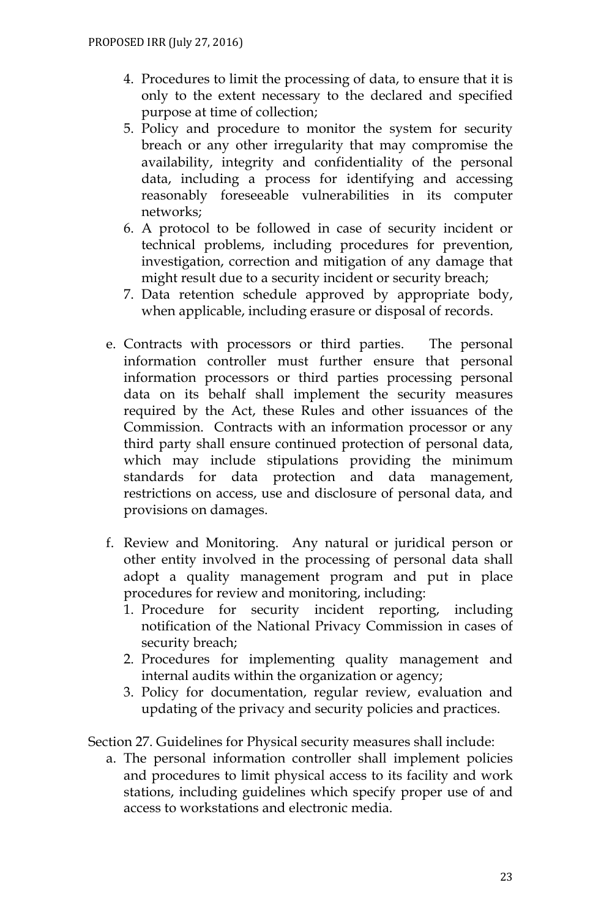- 4. Procedures to limit the processing of data, to ensure that it is only to the extent necessary to the declared and specified purpose at time of collection;
- 5. Policy and procedure to monitor the system for security breach or any other irregularity that may compromise the availability, integrity and confidentiality of the personal data, including a process for identifying and accessing reasonably foreseeable vulnerabilities in its computer networks;
- 6. A protocol to be followed in case of security incident or technical problems, including procedures for prevention, investigation, correction and mitigation of any damage that might result due to a security incident or security breach;
- 7. Data retention schedule approved by appropriate body, when applicable, including erasure or disposal of records.
- e. Contracts with processors or third parties. The personal information controller must further ensure that personal information processors or third parties processing personal data on its behalf shall implement the security measures required by the Act, these Rules and other issuances of the Commission. Contracts with an information processor or any third party shall ensure continued protection of personal data, which may include stipulations providing the minimum standards for data protection and data management, restrictions on access, use and disclosure of personal data, and provisions on damages.
- f. Review and Monitoring. Any natural or juridical person or other entity involved in the processing of personal data shall adopt a quality management program and put in place procedures for review and monitoring, including:
	- 1. Procedure for security incident reporting, including notification of the National Privacy Commission in cases of security breach;
	- 2. Procedures for implementing quality management and internal audits within the organization or agency;
	- 3. Policy for documentation, regular review, evaluation and updating of the privacy and security policies and practices.

Section 27. Guidelines for Physical security measures shall include:

a. The personal information controller shall implement policies and procedures to limit physical access to its facility and work stations, including guidelines which specify proper use of and access to workstations and electronic media.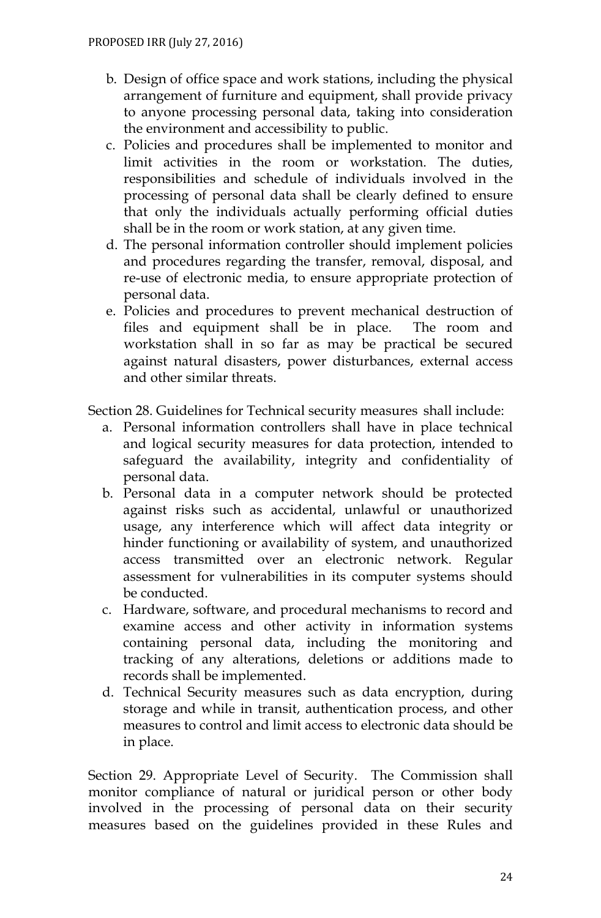- b. Design of office space and work stations, including the physical arrangement of furniture and equipment, shall provide privacy to anyone processing personal data, taking into consideration the environment and accessibility to public.
- c. Policies and procedures shall be implemented to monitor and limit activities in the room or workstation. The duties, responsibilities and schedule of individuals involved in the processing of personal data shall be clearly defined to ensure that only the individuals actually performing official duties shall be in the room or work station, at any given time.
- d. The personal information controller should implement policies and procedures regarding the transfer, removal, disposal, and re-use of electronic media, to ensure appropriate protection of personal data.
- e. Policies and procedures to prevent mechanical destruction of files and equipment shall be in place. The room and workstation shall in so far as may be practical be secured against natural disasters, power disturbances, external access and other similar threats.

Section 28. Guidelines for Technical security measures shall include:

- a. Personal information controllers shall have in place technical and logical security measures for data protection, intended to safeguard the availability, integrity and confidentiality of personal data.
- b. Personal data in a computer network should be protected against risks such as accidental, unlawful or unauthorized usage, any interference which will affect data integrity or hinder functioning or availability of system, and unauthorized access transmitted over an electronic network. Regular assessment for vulnerabilities in its computer systems should be conducted.
- c. Hardware, software, and procedural mechanisms to record and examine access and other activity in information systems containing personal data, including the monitoring and tracking of any alterations, deletions or additions made to records shall be implemented.
- d. Technical Security measures such as data encryption, during storage and while in transit, authentication process, and other measures to control and limit access to electronic data should be in place.

Section 29. Appropriate Level of Security. The Commission shall monitor compliance of natural or juridical person or other body involved in the processing of personal data on their security measures based on the guidelines provided in these Rules and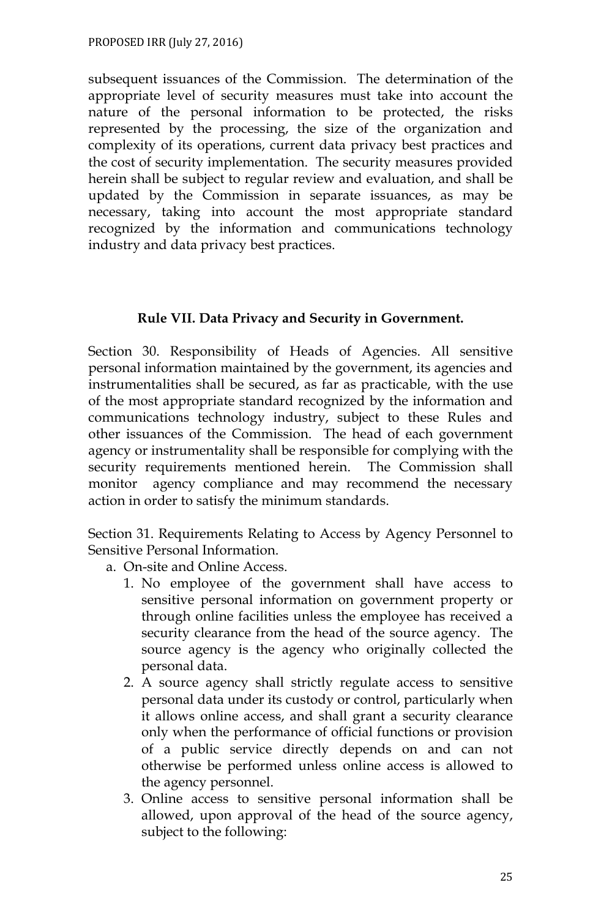subsequent issuances of the Commission. The determination of the appropriate level of security measures must take into account the nature of the personal information to be protected, the risks represented by the processing, the size of the organization and complexity of its operations, current data privacy best practices and the cost of security implementation. The security measures provided herein shall be subject to regular review and evaluation, and shall be updated by the Commission in separate issuances, as may be necessary, taking into account the most appropriate standard recognized by the information and communications technology industry and data privacy best practices.

#### **Rule VII. Data Privacy and Security in Government.**

Section 30. Responsibility of Heads of Agencies. All sensitive personal information maintained by the government, its agencies and instrumentalities shall be secured, as far as practicable, with the use of the most appropriate standard recognized by the information and communications technology industry, subject to these Rules and other issuances of the Commission. The head of each government agency or instrumentality shall be responsible for complying with the security requirements mentioned herein. The Commission shall monitor agency compliance and may recommend the necessary action in order to satisfy the minimum standards.

Section 31. Requirements Relating to Access by Agency Personnel to Sensitive Personal Information.

- a. On-site and Online Access.
	- 1. No employee of the government shall have access to sensitive personal information on government property or through online facilities unless the employee has received a security clearance from the head of the source agency. The source agency is the agency who originally collected the personal data.
	- 2. A source agency shall strictly regulate access to sensitive personal data under its custody or control, particularly when it allows online access, and shall grant a security clearance only when the performance of official functions or provision of a public service directly depends on and can not otherwise be performed unless online access is allowed to the agency personnel.
	- 3. Online access to sensitive personal information shall be allowed, upon approval of the head of the source agency, subject to the following: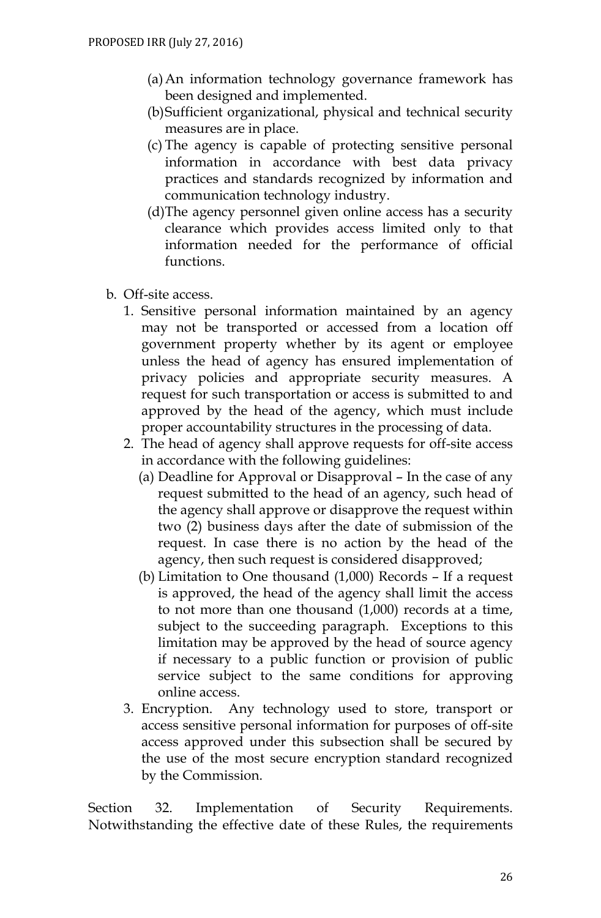- (a)An information technology governance framework has been designed and implemented.
- (b)Sufficient organizational, physical and technical security measures are in place.
- (c) The agency is capable of protecting sensitive personal information in accordance with best data privacy practices and standards recognized by information and communication technology industry.
- (d)The agency personnel given online access has a security clearance which provides access limited only to that information needed for the performance of official functions.
- b. Off-site access.
	- 1. Sensitive personal information maintained by an agency may not be transported or accessed from a location off government property whether by its agent or employee unless the head of agency has ensured implementation of privacy policies and appropriate security measures. A request for such transportation or access is submitted to and approved by the head of the agency, which must include proper accountability structures in the processing of data.
	- 2. The head of agency shall approve requests for off-site access in accordance with the following guidelines:
		- (a) Deadline for Approval or Disapproval In the case of any request submitted to the head of an agency, such head of the agency shall approve or disapprove the request within two (2) business days after the date of submission of the request. In case there is no action by the head of the agency, then such request is considered disapproved;
		- (b) Limitation to One thousand (1,000) Records If a request is approved, the head of the agency shall limit the access to not more than one thousand (1,000) records at a time, subject to the succeeding paragraph. Exceptions to this limitation may be approved by the head of source agency if necessary to a public function or provision of public service subject to the same conditions for approving online access.
	- 3. Encryption. Any technology used to store, transport or access sensitive personal information for purposes of off-site access approved under this subsection shall be secured by the use of the most secure encryption standard recognized by the Commission.

Section 32. Implementation of Security Requirements. Notwithstanding the effective date of these Rules, the requirements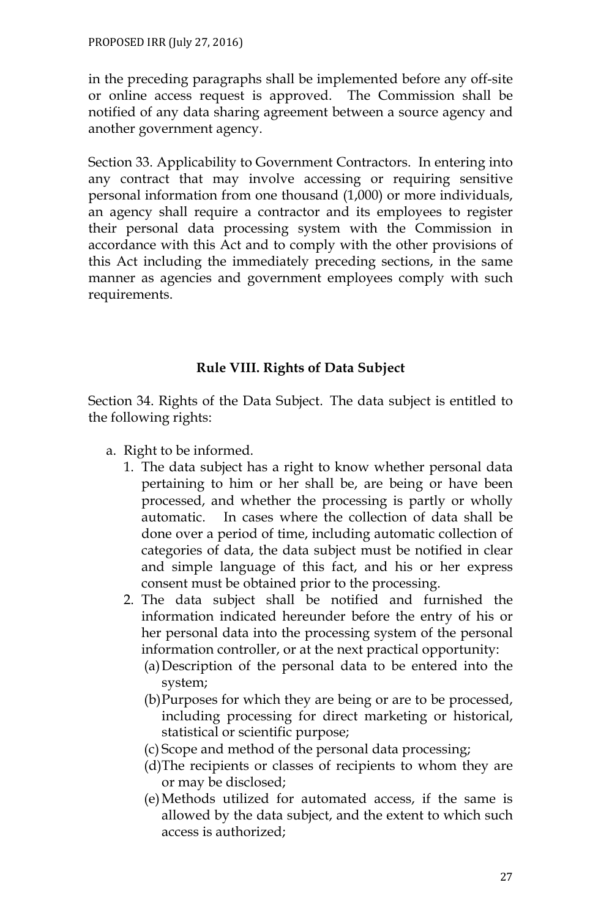in the preceding paragraphs shall be implemented before any off-site or online access request is approved. The Commission shall be notified of any data sharing agreement between a source agency and another government agency.

Section 33. Applicability to Government Contractors. In entering into any contract that may involve accessing or requiring sensitive personal information from one thousand (1,000) or more individuals, an agency shall require a contractor and its employees to register their personal data processing system with the Commission in accordance with this Act and to comply with the other provisions of this Act including the immediately preceding sections, in the same manner as agencies and government employees comply with such requirements.

# **Rule VIII. Rights of Data Subject**

Section 34. Rights of the Data Subject. The data subject is entitled to the following rights:

- a. Right to be informed.
	- 1. The data subject has a right to know whether personal data pertaining to him or her shall be, are being or have been processed, and whether the processing is partly or wholly automatic. In cases where the collection of data shall be done over a period of time, including automatic collection of categories of data, the data subject must be notified in clear and simple language of this fact, and his or her express consent must be obtained prior to the processing.
	- 2. The data subject shall be notified and furnished the information indicated hereunder before the entry of his or her personal data into the processing system of the personal information controller, or at the next practical opportunity:
		- (a)Description of the personal data to be entered into the system;
		- (b)Purposes for which they are being or are to be processed, including processing for direct marketing or historical, statistical or scientific purpose;
		- (c) Scope and method of the personal data processing;
		- (d)The recipients or classes of recipients to whom they are or may be disclosed;
		- (e)Methods utilized for automated access, if the same is allowed by the data subject, and the extent to which such access is authorized;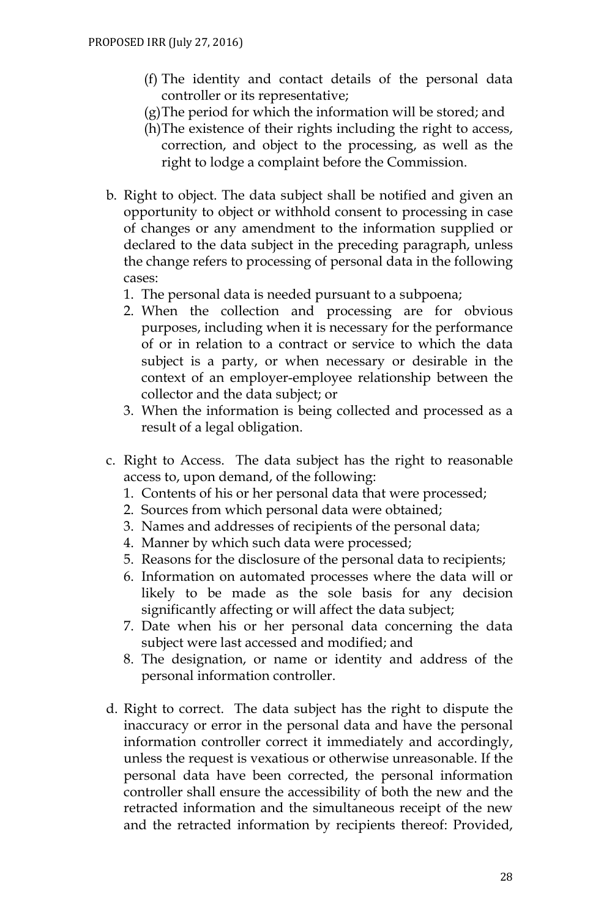- (f) The identity and contact details of the personal data controller or its representative;
- (g)The period for which the information will be stored; and
- (h)The existence of their rights including the right to access, correction, and object to the processing, as well as the right to lodge a complaint before the Commission.
- b. Right to object. The data subject shall be notified and given an opportunity to object or withhold consent to processing in case of changes or any amendment to the information supplied or declared to the data subject in the preceding paragraph, unless the change refers to processing of personal data in the following cases:
	- 1. The personal data is needed pursuant to a subpoena;
	- 2. When the collection and processing are for obvious purposes, including when it is necessary for the performance of or in relation to a contract or service to which the data subject is a party, or when necessary or desirable in the context of an employer-employee relationship between the collector and the data subject; or
	- 3. When the information is being collected and processed as a result of a legal obligation.
- c. Right to Access. The data subject has the right to reasonable access to, upon demand, of the following:
	- 1. Contents of his or her personal data that were processed;
	- 2. Sources from which personal data were obtained;
	- 3. Names and addresses of recipients of the personal data;
	- 4. Manner by which such data were processed;
	- 5. Reasons for the disclosure of the personal data to recipients;
	- 6. Information on automated processes where the data will or likely to be made as the sole basis for any decision significantly affecting or will affect the data subject;
	- 7. Date when his or her personal data concerning the data subject were last accessed and modified; and
	- 8. The designation, or name or identity and address of the personal information controller.
- d. Right to correct. The data subject has the right to dispute the inaccuracy or error in the personal data and have the personal information controller correct it immediately and accordingly, unless the request is vexatious or otherwise unreasonable. If the personal data have been corrected, the personal information controller shall ensure the accessibility of both the new and the retracted information and the simultaneous receipt of the new and the retracted information by recipients thereof: Provided,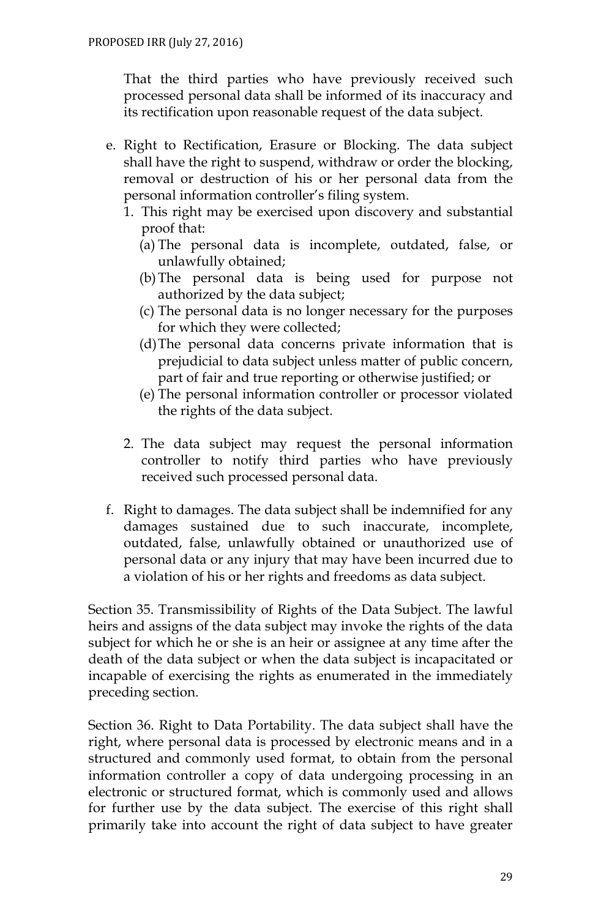That the third parties who have previously received such processed personal data shall be informed of its inaccuracy and its rectification upon reasonable request of the data subject.

- e. Right to Rectification, Erasure or Blocking. The data subject shall have the right to suspend, withdraw or order the blocking, removal or destruction of his or her personal data from the personal information controller's filing system.
	- 1. This right may be exercised upon discovery and substantial proof that:
		- (a) The personal data is incomplete, outdated, false, or unlawfully obtained;
		- (b)The personal data is being used for purpose not authorized by the data subject;
		- (c) The personal data is no longer necessary for the purposes for which they were collected;
		- (d)The personal data concerns private information that is prejudicial to data subject unless matter of public concern, part of fair and true reporting or otherwise justified; or
		- (e) The personal information controller or processor violated the rights of the data subject.
	- 2. The data subject may request the personal information controller to notify third parties who have previously received such processed personal data.
- f. Right to damages. The data subject shall be indemnified for any damages sustained due to such inaccurate, incomplete, outdated, false, unlawfully obtained or unauthorized use of personal data or any injury that may have been incurred due to a violation of his or her rights and freedoms as data subject.

Section 35. Transmissibility of Rights of the Data Subject. The lawful heirs and assigns of the data subject may invoke the rights of the data subject for which he or she is an heir or assignee at any time after the death of the data subject or when the data subject is incapacitated or incapable of exercising the rights as enumerated in the immediately preceding section.

Section 36. Right to Data Portability. The data subject shall have the right, where personal data is processed by electronic means and in a structured and commonly used format, to obtain from the personal information controller a copy of data undergoing processing in an electronic or structured format, which is commonly used and allows for further use by the data subject. The exercise of this right shall primarily take into account the right of data subject to have greater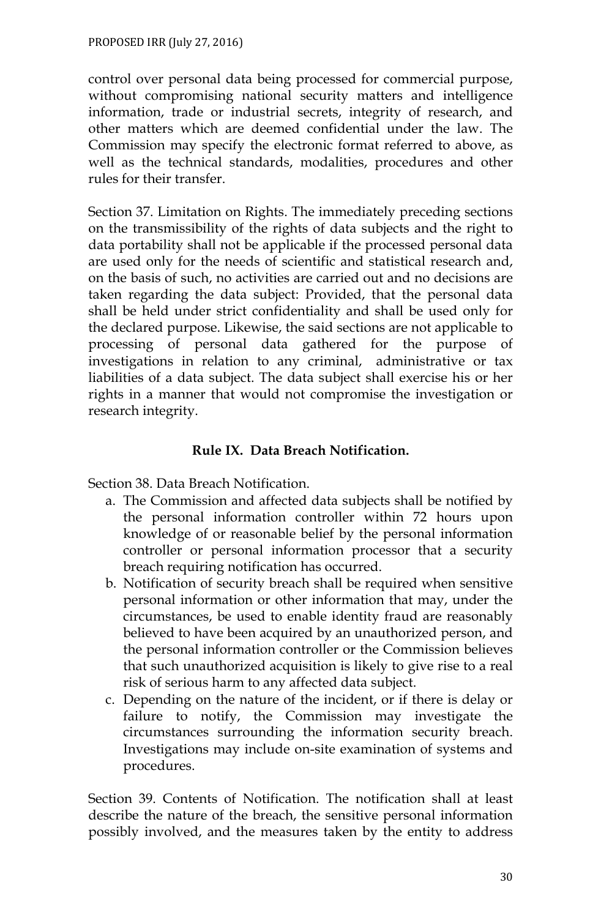control over personal data being processed for commercial purpose, without compromising national security matters and intelligence information, trade or industrial secrets, integrity of research, and other matters which are deemed confidential under the law. The Commission may specify the electronic format referred to above, as well as the technical standards, modalities, procedures and other rules for their transfer.

Section 37. Limitation on Rights. The immediately preceding sections on the transmissibility of the rights of data subjects and the right to data portability shall not be applicable if the processed personal data are used only for the needs of scientific and statistical research and, on the basis of such, no activities are carried out and no decisions are taken regarding the data subject: Provided, that the personal data shall be held under strict confidentiality and shall be used only for the declared purpose. Likewise, the said sections are not applicable to processing of personal data gathered for the purpose of investigations in relation to any criminal, administrative or tax liabilities of a data subject. The data subject shall exercise his or her rights in a manner that would not compromise the investigation or research integrity.

## **Rule IX. Data Breach Notification.**

Section 38. Data Breach Notification.

- a. The Commission and affected data subjects shall be notified by the personal information controller within 72 hours upon knowledge of or reasonable belief by the personal information controller or personal information processor that a security breach requiring notification has occurred.
- b. Notification of security breach shall be required when sensitive personal information or other information that may, under the circumstances, be used to enable identity fraud are reasonably believed to have been acquired by an unauthorized person, and the personal information controller or the Commission believes that such unauthorized acquisition is likely to give rise to a real risk of serious harm to any affected data subject.
- c. Depending on the nature of the incident, or if there is delay or failure to notify, the Commission may investigate the circumstances surrounding the information security breach. Investigations may include on-site examination of systems and procedures.

Section 39. Contents of Notification. The notification shall at least describe the nature of the breach, the sensitive personal information possibly involved, and the measures taken by the entity to address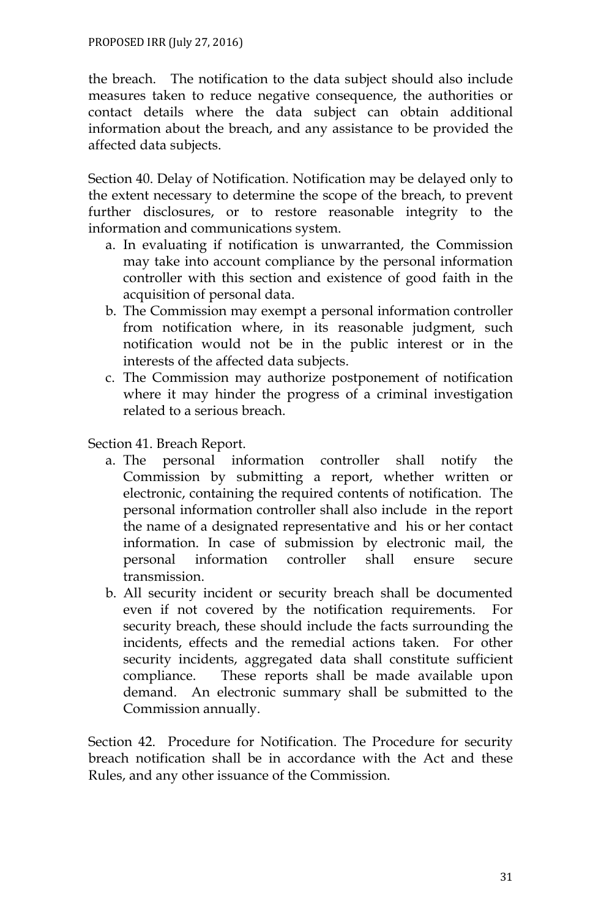the breach. The notification to the data subject should also include measures taken to reduce negative consequence, the authorities or contact details where the data subject can obtain additional information about the breach, and any assistance to be provided the affected data subjects.

Section 40. Delay of Notification. Notification may be delayed only to the extent necessary to determine the scope of the breach, to prevent further disclosures, or to restore reasonable integrity to the information and communications system.

- a. In evaluating if notification is unwarranted, the Commission may take into account compliance by the personal information controller with this section and existence of good faith in the acquisition of personal data.
- b. The Commission may exempt a personal information controller from notification where, in its reasonable judgment, such notification would not be in the public interest or in the interests of the affected data subjects.
- c. The Commission may authorize postponement of notification where it may hinder the progress of a criminal investigation related to a serious breach.

Section 41. Breach Report.

- a. The personal information controller shall notify the Commission by submitting a report, whether written or electronic, containing the required contents of notification. The personal information controller shall also include in the report the name of a designated representative and his or her contact information. In case of submission by electronic mail, the personal information controller shall ensure secure transmission.
- b. All security incident or security breach shall be documented even if not covered by the notification requirements. For security breach, these should include the facts surrounding the incidents, effects and the remedial actions taken. For other security incidents, aggregated data shall constitute sufficient compliance. These reports shall be made available upon demand. An electronic summary shall be submitted to the Commission annually.

Section 42. Procedure for Notification. The Procedure for security breach notification shall be in accordance with the Act and these Rules, and any other issuance of the Commission.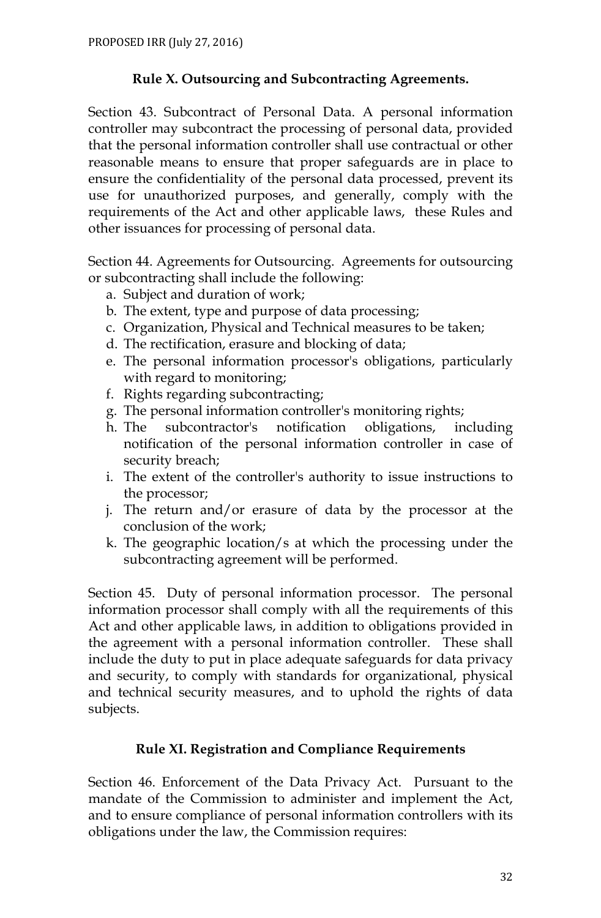### **Rule X. Outsourcing and Subcontracting Agreements.**

Section 43. Subcontract of Personal Data. A personal information controller may subcontract the processing of personal data, provided that the personal information controller shall use contractual or other reasonable means to ensure that proper safeguards are in place to ensure the confidentiality of the personal data processed, prevent its use for unauthorized purposes, and generally, comply with the requirements of the Act and other applicable laws, these Rules and other issuances for processing of personal data.

Section 44. Agreements for Outsourcing. Agreements for outsourcing or subcontracting shall include the following:

- a. Subject and duration of work;
- b. The extent, type and purpose of data processing;
- c. Organization, Physical and Technical measures to be taken;
- d. The rectification, erasure and blocking of data;
- e. The personal information processor's obligations, particularly with regard to monitoring;
- f. Rights regarding subcontracting;
- g. The personal information controller's monitoring rights;
- h. The subcontractor's notification obligations, including notification of the personal information controller in case of security breach;
- i. The extent of the controller's authority to issue instructions to the processor;
- j. The return and/or erasure of data by the processor at the conclusion of the work;
- k. The geographic location/s at which the processing under the subcontracting agreement will be performed.

Section 45. Duty of personal information processor. The personal information processor shall comply with all the requirements of this Act and other applicable laws, in addition to obligations provided in the agreement with a personal information controller. These shall include the duty to put in place adequate safeguards for data privacy and security, to comply with standards for organizational, physical and technical security measures, and to uphold the rights of data subjects.

# **Rule XI. Registration and Compliance Requirements**

Section 46. Enforcement of the Data Privacy Act. Pursuant to the mandate of the Commission to administer and implement the Act, and to ensure compliance of personal information controllers with its obligations under the law, the Commission requires: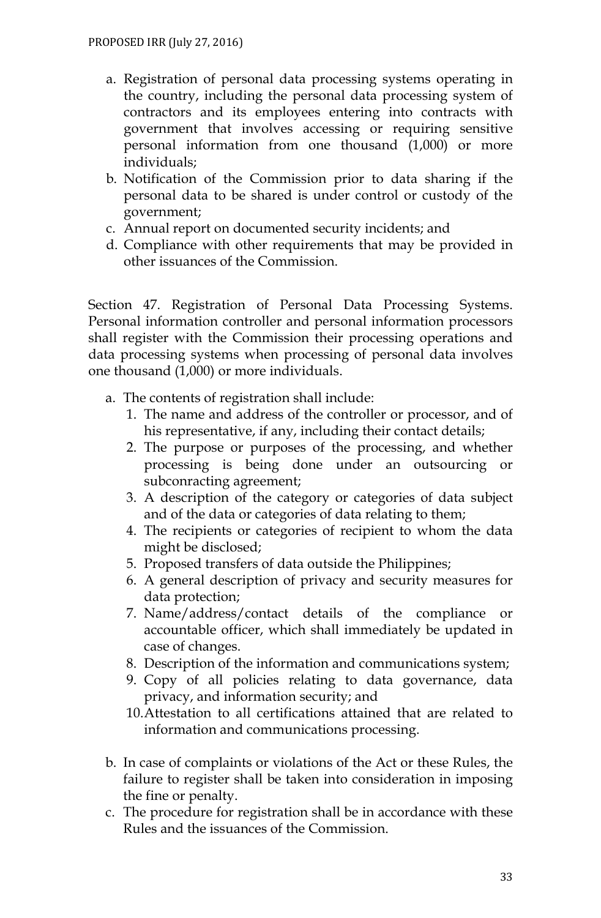- a. Registration of personal data processing systems operating in the country, including the personal data processing system of contractors and its employees entering into contracts with government that involves accessing or requiring sensitive personal information from one thousand (1,000) or more individuals;
- b. Notification of the Commission prior to data sharing if the personal data to be shared is under control or custody of the government;
- c. Annual report on documented security incidents; and
- d. Compliance with other requirements that may be provided in other issuances of the Commission.

Section 47. Registration of Personal Data Processing Systems. Personal information controller and personal information processors shall register with the Commission their processing operations and data processing systems when processing of personal data involves one thousand (1,000) or more individuals.

- a. The contents of registration shall include:
	- 1. The name and address of the controller or processor, and of his representative, if any, including their contact details;
	- 2. The purpose or purposes of the processing, and whether processing is being done under an outsourcing or subconracting agreement;
	- 3. A description of the category or categories of data subject and of the data or categories of data relating to them;
	- 4. The recipients or categories of recipient to whom the data might be disclosed;
	- 5. Proposed transfers of data outside the Philippines;
	- 6. A general description of privacy and security measures for data protection;
	- 7. Name/address/contact details of the compliance or accountable officer, which shall immediately be updated in case of changes.
	- 8. Description of the information and communications system;
	- 9. Copy of all policies relating to data governance, data privacy, and information security; and
	- 10.Attestation to all certifications attained that are related to information and communications processing.
- b. In case of complaints or violations of the Act or these Rules, the failure to register shall be taken into consideration in imposing the fine or penalty.
- c. The procedure for registration shall be in accordance with these Rules and the issuances of the Commission.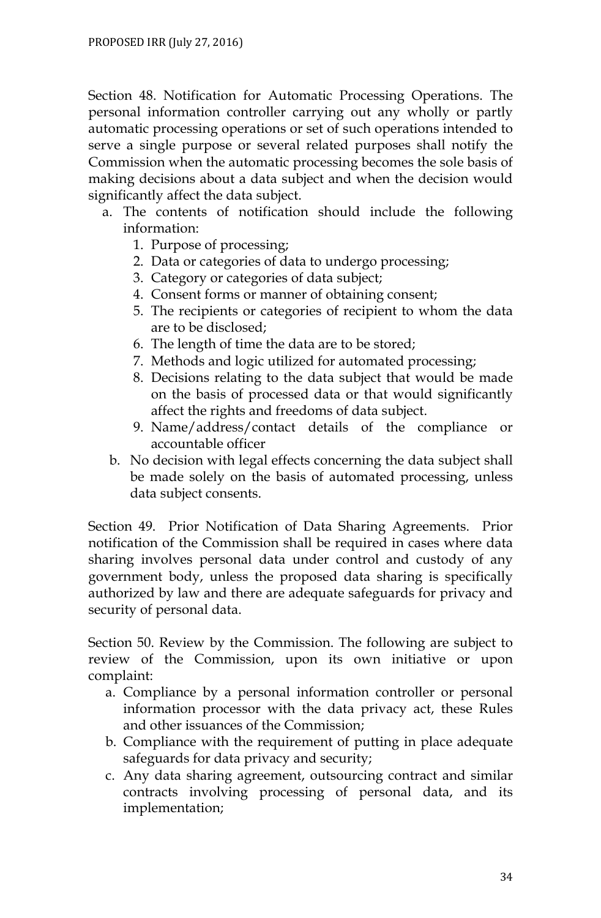Section 48. Notification for Automatic Processing Operations. The personal information controller carrying out any wholly or partly automatic processing operations or set of such operations intended to serve a single purpose or several related purposes shall notify the Commission when the automatic processing becomes the sole basis of making decisions about a data subject and when the decision would significantly affect the data subject.

- a. The contents of notification should include the following information:
	- 1. Purpose of processing;
	- 2. Data or categories of data to undergo processing;
	- 3. Category or categories of data subject;
	- 4. Consent forms or manner of obtaining consent;
	- 5. The recipients or categories of recipient to whom the data are to be disclosed;
	- 6. The length of time the data are to be stored;
	- 7. Methods and logic utilized for automated processing;
	- 8. Decisions relating to the data subject that would be made on the basis of processed data or that would significantly affect the rights and freedoms of data subject.
	- 9. Name/address/contact details of the compliance or accountable officer
	- b. No decision with legal effects concerning the data subject shall be made solely on the basis of automated processing, unless data subject consents.

Section 49. Prior Notification of Data Sharing Agreements. Prior notification of the Commission shall be required in cases where data sharing involves personal data under control and custody of any government body, unless the proposed data sharing is specifically authorized by law and there are adequate safeguards for privacy and security of personal data.

Section 50. Review by the Commission. The following are subject to review of the Commission, upon its own initiative or upon complaint:

- a. Compliance by a personal information controller or personal information processor with the data privacy act, these Rules and other issuances of the Commission;
- b. Compliance with the requirement of putting in place adequate safeguards for data privacy and security;
- c. Any data sharing agreement, outsourcing contract and similar contracts involving processing of personal data, and its implementation;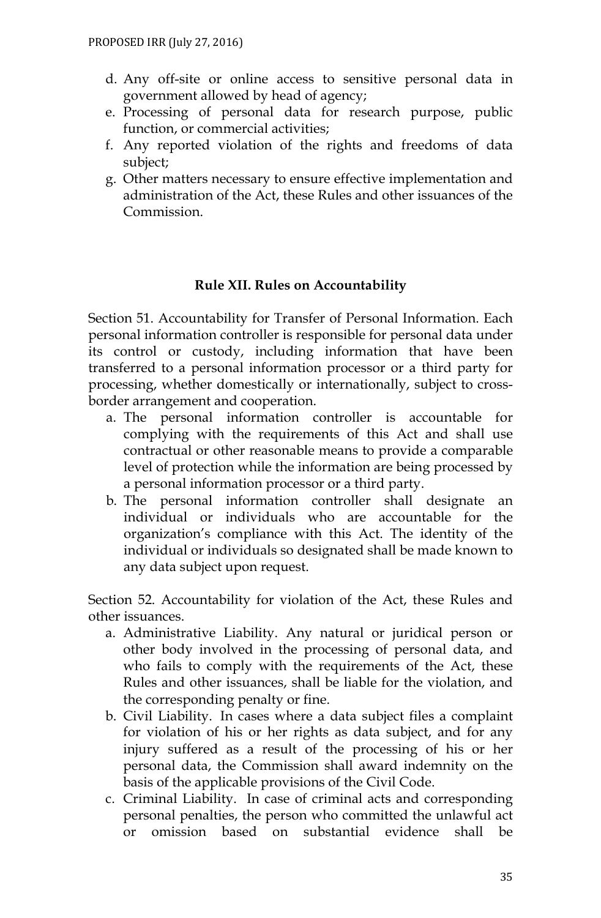- d. Any off-site or online access to sensitive personal data in government allowed by head of agency;
- e. Processing of personal data for research purpose, public function, or commercial activities;
- f. Any reported violation of the rights and freedoms of data subject;
- g. Other matters necessary to ensure effective implementation and administration of the Act, these Rules and other issuances of the Commission.

#### **Rule XII. Rules on Accountability**

Section 51. Accountability for Transfer of Personal Information. Each personal information controller is responsible for personal data under its control or custody, including information that have been transferred to a personal information processor or a third party for processing, whether domestically or internationally, subject to crossborder arrangement and cooperation.

- a. The personal information controller is accountable for complying with the requirements of this Act and shall use contractual or other reasonable means to provide a comparable level of protection while the information are being processed by a personal information processor or a third party.
- b. The personal information controller shall designate an individual or individuals who are accountable for the organization's compliance with this Act. The identity of the individual or individuals so designated shall be made known to any data subject upon request.

Section 52. Accountability for violation of the Act, these Rules and other issuances.

- a. Administrative Liability. Any natural or juridical person or other body involved in the processing of personal data, and who fails to comply with the requirements of the Act, these Rules and other issuances, shall be liable for the violation, and the corresponding penalty or fine.
- b. Civil Liability. In cases where a data subject files a complaint for violation of his or her rights as data subject, and for any injury suffered as a result of the processing of his or her personal data, the Commission shall award indemnity on the basis of the applicable provisions of the Civil Code.
- c. Criminal Liability. In case of criminal acts and corresponding personal penalties, the person who committed the unlawful act or omission based on substantial evidence shall be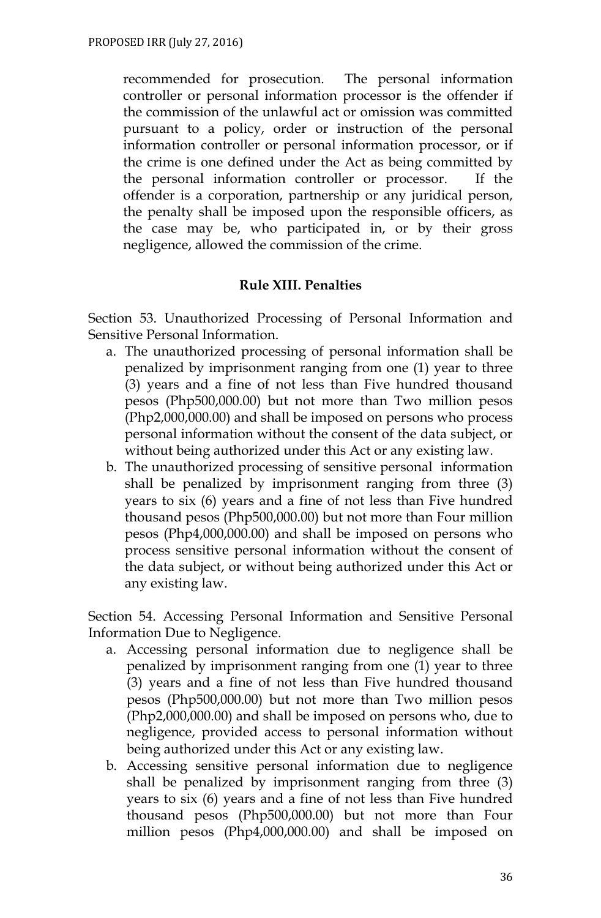recommended for prosecution. The personal information controller or personal information processor is the offender if the commission of the unlawful act or omission was committed pursuant to a policy, order or instruction of the personal information controller or personal information processor, or if the crime is one defined under the Act as being committed by the personal information controller or processor. If the offender is a corporation, partnership or any juridical person, the penalty shall be imposed upon the responsible officers, as the case may be, who participated in, or by their gross negligence, allowed the commission of the crime.

#### **Rule XIII. Penalties**

Section 53. Unauthorized Processing of Personal Information and Sensitive Personal Information.

- a. The unauthorized processing of personal information shall be penalized by imprisonment ranging from one (1) year to three (3) years and a fine of not less than Five hundred thousand pesos (Php500,000.00) but not more than Two million pesos (Php2,000,000.00) and shall be imposed on persons who process personal information without the consent of the data subject, or without being authorized under this Act or any existing law.
- b. The unauthorized processing of sensitive personal information shall be penalized by imprisonment ranging from three (3) years to six (6) years and a fine of not less than Five hundred thousand pesos (Php500,000.00) but not more than Four million pesos (Php4,000,000.00) and shall be imposed on persons who process sensitive personal information without the consent of the data subject, or without being authorized under this Act or any existing law.

Section 54. Accessing Personal Information and Sensitive Personal Information Due to Negligence.

- a. Accessing personal information due to negligence shall be penalized by imprisonment ranging from one (1) year to three (3) years and a fine of not less than Five hundred thousand pesos (Php500,000.00) but not more than Two million pesos (Php2,000,000.00) and shall be imposed on persons who, due to negligence, provided access to personal information without being authorized under this Act or any existing law.
- b. Accessing sensitive personal information due to negligence shall be penalized by imprisonment ranging from three (3) years to six (6) years and a fine of not less than Five hundred thousand pesos (Php500,000.00) but not more than Four million pesos (Php4,000,000.00) and shall be imposed on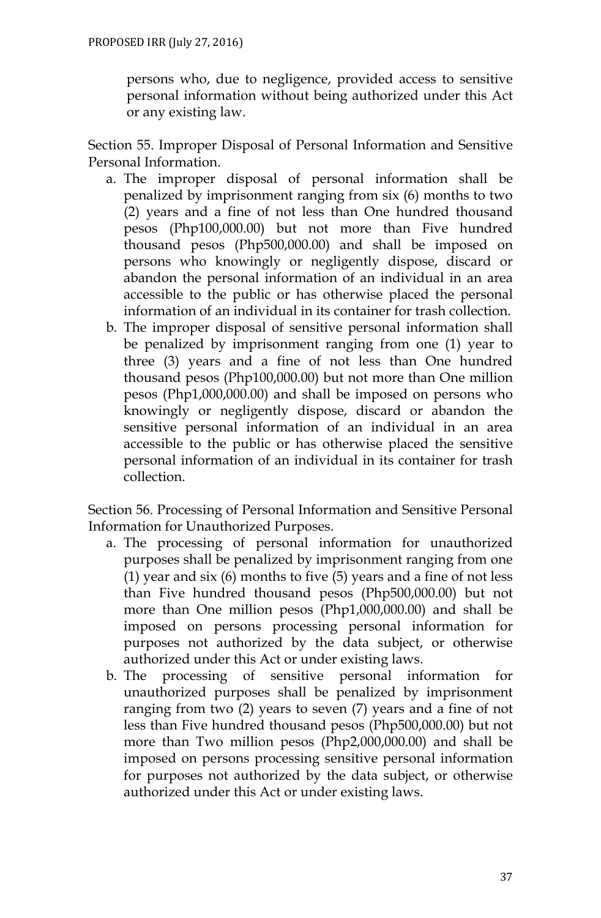persons who, due to negligence, provided access to sensitive personal information without being authorized under this Act or any existing law.

Section 55. Improper Disposal of Personal Information and Sensitive Personal Information.

- a. The improper disposal of personal information shall be penalized by imprisonment ranging from six (6) months to two (2) years and a fine of not less than One hundred thousand pesos (Php100,000.00) but not more than Five hundred thousand pesos (Php500,000.00) and shall be imposed on persons who knowingly or negligently dispose, discard or abandon the personal information of an individual in an area accessible to the public or has otherwise placed the personal information of an individual in its container for trash collection.
- b. The improper disposal of sensitive personal information shall be penalized by imprisonment ranging from one (1) year to three (3) years and a fine of not less than One hundred thousand pesos (Php100,000.00) but not more than One million pesos (Php1,000,000.00) and shall be imposed on persons who knowingly or negligently dispose, discard or abandon the sensitive personal information of an individual in an area accessible to the public or has otherwise placed the sensitive personal information of an individual in its container for trash collection.

Section 56. Processing of Personal Information and Sensitive Personal Information for Unauthorized Purposes.

- a. The processing of personal information for unauthorized purposes shall be penalized by imprisonment ranging from one (1) year and six  $(6)$  months to five  $(5)$  years and a fine of not less than Five hundred thousand pesos (Php500,000.00) but not more than One million pesos (Php1,000,000.00) and shall be imposed on persons processing personal information for purposes not authorized by the data subject, or otherwise authorized under this Act or under existing laws.
- b. The processing of sensitive personal information for unauthorized purposes shall be penalized by imprisonment ranging from two (2) years to seven (7) years and a fine of not less than Five hundred thousand pesos (Php500,000.00) but not more than Two million pesos (Php2,000,000.00) and shall be imposed on persons processing sensitive personal information for purposes not authorized by the data subject, or otherwise authorized under this Act or under existing laws.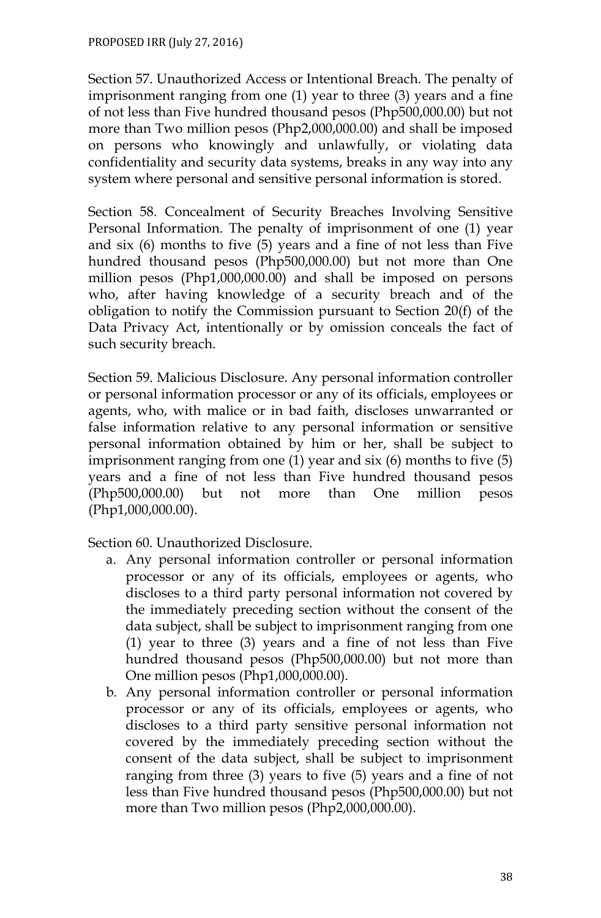Section 57. Unauthorized Access or Intentional Breach. The penalty of imprisonment ranging from one (1) year to three (3) years and a fine of not less than Five hundred thousand pesos (Php500,000.00) but not more than Two million pesos (Php2,000,000.00) and shall be imposed on persons who knowingly and unlawfully, or violating data confidentiality and security data systems, breaks in any way into any system where personal and sensitive personal information is stored.

Section 58. Concealment of Security Breaches Involving Sensitive Personal Information. The penalty of imprisonment of one (1) year and six (6) months to five (5) years and a fine of not less than Five hundred thousand pesos (Php500,000.00) but not more than One million pesos (Php1,000,000.00) and shall be imposed on persons who, after having knowledge of a security breach and of the obligation to notify the Commission pursuant to Section 20(f) of the Data Privacy Act, intentionally or by omission conceals the fact of such security breach.

Section 59. Malicious Disclosure. Any personal information controller or personal information processor or any of its officials, employees or agents, who, with malice or in bad faith, discloses unwarranted or false information relative to any personal information or sensitive personal information obtained by him or her, shall be subject to imprisonment ranging from one (1) year and six (6) months to five (5) years and a fine of not less than Five hundred thousand pesos (Php500,000.00) but not more than One million pesos (Php1,000,000.00).

Section 60. Unauthorized Disclosure.

- a. Any personal information controller or personal information processor or any of its officials, employees or agents, who discloses to a third party personal information not covered by the immediately preceding section without the consent of the data subject, shall be subject to imprisonment ranging from one (1) year to three (3) years and a fine of not less than Five hundred thousand pesos (Php500,000.00) but not more than One million pesos (Php1,000,000.00).
- b. Any personal information controller or personal information processor or any of its officials, employees or agents, who discloses to a third party sensitive personal information not covered by the immediately preceding section without the consent of the data subject, shall be subject to imprisonment ranging from three (3) years to five (5) years and a fine of not less than Five hundred thousand pesos (Php500,000.00) but not more than Two million pesos (Php2,000,000.00).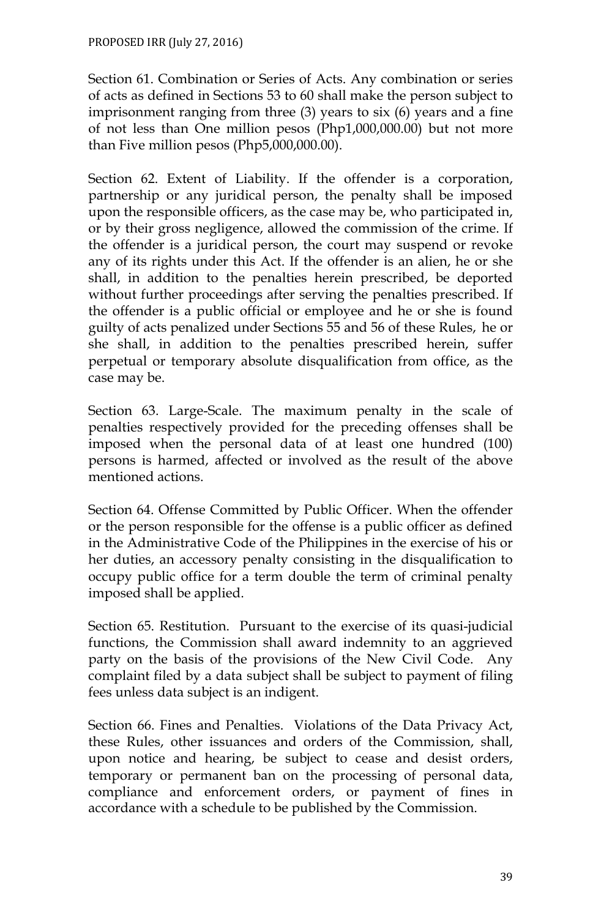Section 61. Combination or Series of Acts. Any combination or series of acts as defined in Sections 53 to 60 shall make the person subject to imprisonment ranging from three (3) years to six (6) years and a fine of not less than One million pesos (Php1,000,000.00) but not more than Five million pesos (Php5,000,000.00).

Section 62. Extent of Liability. If the offender is a corporation, partnership or any juridical person, the penalty shall be imposed upon the responsible officers, as the case may be, who participated in, or by their gross negligence, allowed the commission of the crime. If the offender is a juridical person, the court may suspend or revoke any of its rights under this Act. If the offender is an alien, he or she shall, in addition to the penalties herein prescribed, be deported without further proceedings after serving the penalties prescribed. If the offender is a public official or employee and he or she is found guilty of acts penalized under Sections 55 and 56 of these Rules, he or she shall, in addition to the penalties prescribed herein, suffer perpetual or temporary absolute disqualification from office, as the case may be.

Section 63. Large-Scale. The maximum penalty in the scale of penalties respectively provided for the preceding offenses shall be imposed when the personal data of at least one hundred (100) persons is harmed, affected or involved as the result of the above mentioned actions.

Section 64. Offense Committed by Public Officer. When the offender or the person responsible for the offense is a public officer as defined in the Administrative Code of the Philippines in the exercise of his or her duties, an accessory penalty consisting in the disqualification to occupy public office for a term double the term of criminal penalty imposed shall be applied.

Section 65. Restitution. Pursuant to the exercise of its quasi-judicial functions, the Commission shall award indemnity to an aggrieved party on the basis of the provisions of the New Civil Code. Any complaint filed by a data subject shall be subject to payment of filing fees unless data subject is an indigent.

Section 66. Fines and Penalties. Violations of the Data Privacy Act, these Rules, other issuances and orders of the Commission, shall, upon notice and hearing, be subject to cease and desist orders, temporary or permanent ban on the processing of personal data, compliance and enforcement orders, or payment of fines in accordance with a schedule to be published by the Commission.